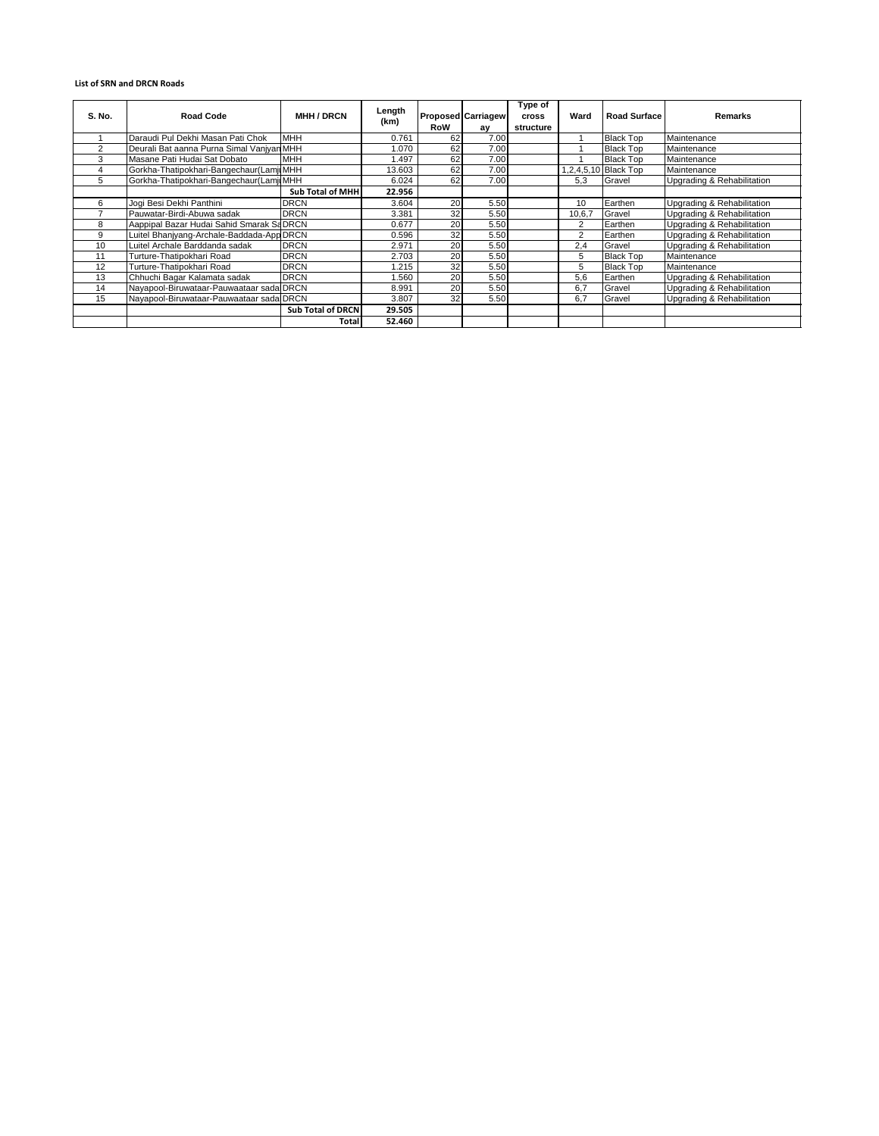## **List of SRN and DRCN Roads**

| S. No. | <b>Road Code</b>                          | <b>MHH / DRCN</b>        | Length<br>(km) | <b>RoW</b> | <b>Proposed Carriagew</b><br>ay | Type of<br><b>cross</b><br>structure | Ward           | <b>Road Surface</b>  | Remarks                    |
|--------|-------------------------------------------|--------------------------|----------------|------------|---------------------------------|--------------------------------------|----------------|----------------------|----------------------------|
|        | Daraudi Pul Dekhi Masan Pati Chok         | <b>MHH</b>               | 0.761          | 62         | 7.00                            |                                      |                | <b>Black Top</b>     | Maintenance                |
| 2      | Deurali Bat aanna Purna Simal Vanjyan MHH |                          | 1.070          | 62         | 7.00                            |                                      |                | <b>Black Top</b>     | Maintenance                |
| 3      | Masane Pati Hudai Sat Dobato              | <b>MHH</b>               | .497           | 62         | 7.00                            |                                      |                | <b>Black Top</b>     | Maintenance                |
|        | Gorkha-Thatipokhari-Bangechaur(Lamji MHH  |                          | 13.603         | 62         | 7.00                            |                                      |                | 1,2,4,5,10 Black Top | Maintenance                |
| 5      | Gorkha-Thatipokhari-Bangechaur(Lamji MHH  |                          | 6.024          | 62         | 7.00                            |                                      | 5.3            | Gravel               | Upgrading & Rehabilitation |
|        |                                           | <b>Sub Total of MHH</b>  | 22.956         |            |                                 |                                      |                |                      |                            |
| 6      | Jogi Besi Dekhi Panthini                  | <b>DRCN</b>              | 3.604          | 20         | 5.50                            |                                      | 10             | Earthen              | Upgrading & Rehabilitation |
|        | Pauwatar-Birdi-Abuwa sadak                | <b>DRCN</b>              | 3.381          | 32         | 5.50                            |                                      | 10,6,7         | Gravel               | Upgrading & Rehabilitation |
| 8      | Aappipal Bazar Hudai Sahid Smarak Sa DRCN |                          | 0.677          | 20         | 5.50                            |                                      | $\overline{2}$ | Earthen              | Upgrading & Rehabilitation |
| 9      | Luitel Bhanjyang-Archale-Baddada-App DRCN |                          | 0.596          | 32         | 5.50                            |                                      | $\overline{2}$ | Earthen              | Upgrading & Rehabilitation |
| 10     | Luitel Archale Barddanda sadak            | <b>DRCN</b>              | 2.971          | 20         | 5.50                            |                                      | 2,4            | Gravel               | Upgrading & Rehabilitation |
| 11     | Turture-Thatipokhari Road                 | <b>DRCN</b>              | 2.703          | 20         | 5.50                            |                                      | 5              | <b>Black Top</b>     | Maintenance                |
| 12     | Turture-Thatipokhari Road                 | <b>DRCN</b>              | .215           | 32         | 5.50                            |                                      | 5              | <b>Black Top</b>     | Maintenance                |
| 13     | Chhuchi Bagar Kalamata sadak              | <b>DRCN</b>              | .560           | 20         | 5.50                            |                                      | 5.6            | Earthen              | Upgrading & Rehabilitation |
| 14     | Nayapool-Biruwataar-Pauwaataar sada DRCN  |                          | 8.991          | 20         | 5.50                            |                                      | 6,7            | Gravel               | Upgrading & Rehabilitation |
| 15     | Nayapool-Biruwataar-Pauwaataar sada DRCN  |                          | 3.807          | 32         | 5.50                            |                                      | 6,7            | Gravel               | Upgrading & Rehabilitation |
|        |                                           | <b>Sub Total of DRCN</b> | 29.505         |            |                                 |                                      |                |                      |                            |
|        |                                           | <b>Total</b>             | 52.460         |            |                                 |                                      |                |                      |                            |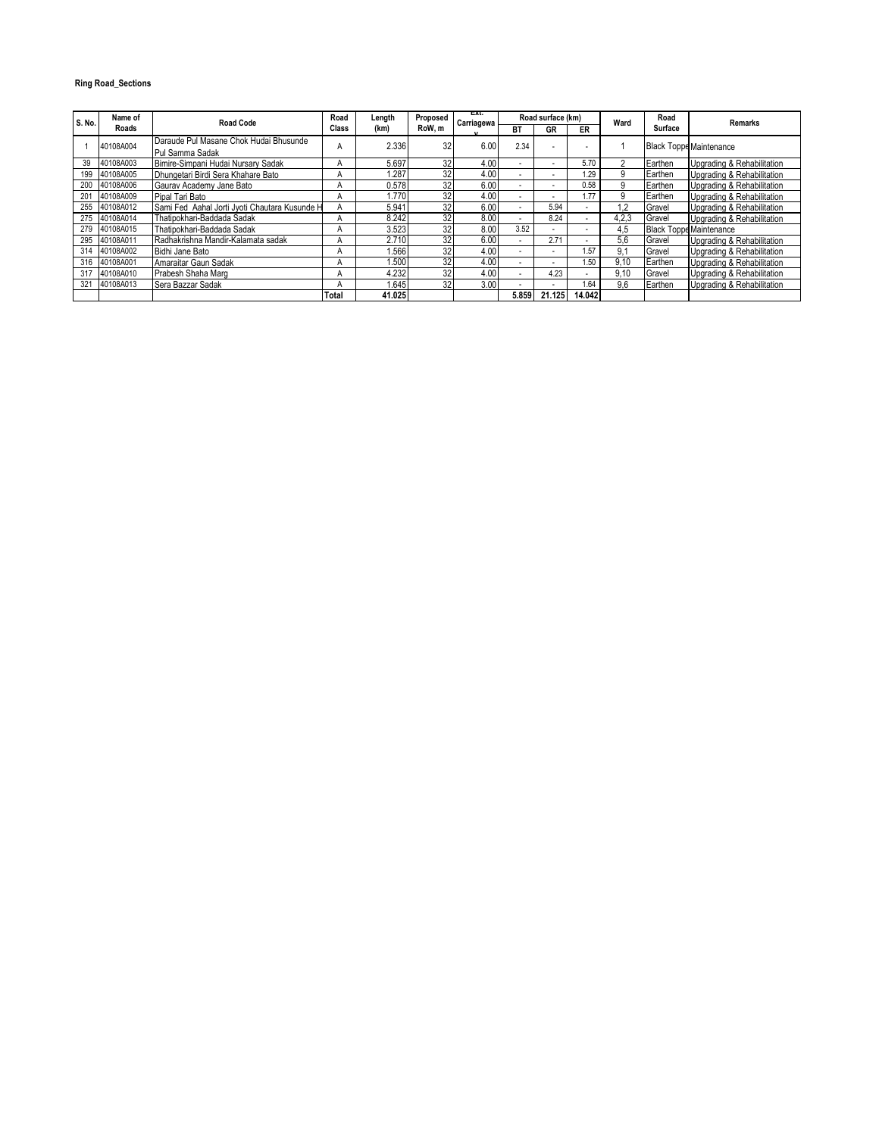## **Ring Road\_Sections**

| S. No. | Name of   | Road Code                                     | Road  | Length | Proposed | ᇌ.<br>Carriagewa |           | Road surface (km)        |        | Ward  | Road    | Remarks                        |
|--------|-----------|-----------------------------------------------|-------|--------|----------|------------------|-----------|--------------------------|--------|-------|---------|--------------------------------|
|        | Roads     |                                               | Class | (km)   | RoW.m    |                  | <b>BT</b> | GR                       | ER     |       | Surface |                                |
|        | 40108A004 | Daraude Pul Masane Chok Hudai Bhusunde        | А     | 2.336  | 32       | 6.00             | 2.34      | ۰.                       |        |       |         | <b>Black Toppe Maintenance</b> |
|        |           | Pul Samma Sadak                               |       |        |          |                  |           |                          |        |       |         |                                |
| 39     | 40108A003 | Bimire-Simpani Hudai Nursary Sadak            | А     | 5.697  | 32       | 4.00             | $\sim$    | $\overline{\phantom{a}}$ | 5.70   | っ     | Earthen | Upgrading & Rehabilitation     |
| 199    | 40108A005 | Dhungetari Birdi Sera Khahare Bato            |       | .287   | 32       | 4.00             | ÷.        | $\overline{\phantom{a}}$ | 1.29   | 9     | Earthen | Upgrading & Rehabilitation     |
| 200    | 40108A006 | Gaurav Academy Jane Bato                      | n     | 0.578  | 32       | 6.00             |           | $\overline{\phantom{a}}$ | 0.58   | 9     | Earthen | Upgrading & Rehabilitation     |
| 201    | 40108A009 | Pipal Tari Bato                               |       | 1.770  | 32       | 4.00             | $\sim$    | $\overline{\phantom{a}}$ | 1.77   | 9     | Earthen | Upgrading & Rehabilitation     |
| 255    | 40108A012 | Sami Fed Aahal Jorti Jyoti Chautara Kusunde H | А     | 5.941  | 32       | 6.00             | $\sim$    | 5.94                     |        | 1.2   | Gravel  | Upgrading & Rehabilitation     |
| 275    | 40108A014 | Thatipokhari-Baddada Sadak                    |       | 8.242  | 32       | 8.00             | $\sim$    | 8.24                     |        | 4,2,3 | Gravel  | Upgrading & Rehabilitation     |
| 279    | 40108A015 | Thatipokhari-Baddada Sadak                    | А     | 3.523  | 32       | 8.00             | 3.52      | $\sim$                   |        | 4.5   |         | <b>Black Toppe Maintenance</b> |
| 295    | 40108A011 | Radhakrishna Mandir-Kalamata sadak            |       | 2.710  | 32       | 6.00             | $\sim$    | 2.71                     |        | 5.6   | Gravel  | Upgrading & Rehabilitation     |
| 314    | 40108A002 | Bidhi Jane Bato                               | А     | .566   | 32       | 4.00             | ٠         | $\overline{\phantom{a}}$ | .57    | 9.1   | Gravel  | Upgrading & Rehabilitation     |
| 316    | 40108A001 | Amaraitar Gaun Sadak                          | n     | .500   | 32       | 4.00             | $\sim$    | $\overline{\phantom{a}}$ | .50    | 9.10  | Earthen | Upgrading & Rehabilitation     |
| 317    | 40108A010 | Prabesh Shaha Marg                            | А     | 4.232  | 32       | 4.00             | $\sim$    | 4.23                     |        | 9.10  | Gravel  | Upgrading & Rehabilitation     |
| 321    | 40108A013 | Sera Bazzar Sadak                             |       | .645   | 32       | 3.00             | $\sim$    | $\overline{\phantom{a}}$ | .64    | 9.6   | Earthen | Upgrading & Rehabilitation     |
|        |           |                                               | Total | 41.025 |          |                  | 5.859     | 21.125                   | 14.042 |       |         |                                |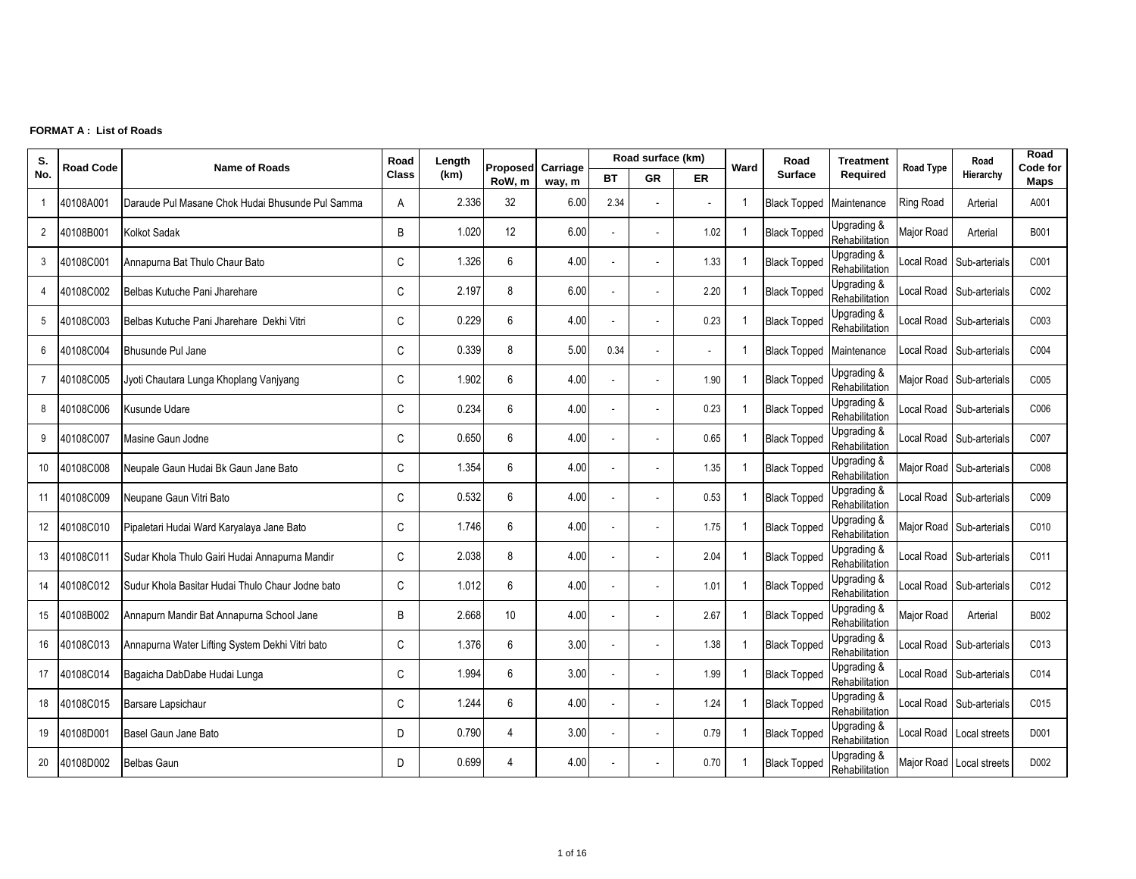## **FORMAT A : List of Roads**

| S.             | <b>Road Code</b> | <b>Name of Roads</b>                             | Road         | Length | Proposed       | Carriage |                          | Road surface (km) |           | Ward                    | Road                     | <b>Treatment</b>              | <b>Road Type</b> | Road                     | Road<br>Code for |
|----------------|------------------|--------------------------------------------------|--------------|--------|----------------|----------|--------------------------|-------------------|-----------|-------------------------|--------------------------|-------------------------------|------------------|--------------------------|------------------|
| No.            |                  |                                                  | <b>Class</b> | (km)   | RoW, m         | way, m   | BT                       | <b>GR</b>         | <b>ER</b> |                         | <b>Surface</b>           | Required                      |                  | Hierarchy                | Maps             |
| -1             | 40108A001        | Daraude Pul Masane Chok Hudai Bhusunde Pul Samma | A            | 2.336  | 32             | 6.00     | 2.34                     | ä,                |           | -1                      | <b>Black Topped</b>      | Maintenance                   | <b>Ring Road</b> | Arterial                 | A001             |
| $\overline{2}$ | 40108B001        | Kolkot Sadak                                     | B            | 1.020  | 12             | 6.00     |                          | ÷                 | 1.02      | -1                      | <b>Black Topped</b>      | Upgrading &<br>Rehabilitation | Major Road       | Arterial                 | B001             |
| 3              | 40108C001        | Annapurna Bat Thulo Chaur Bato                   | C            | 1.326  | 6              | 4.00     | $\overline{\phantom{a}}$ | $\sim$            | 1.33      |                         | <b>Black Topped</b>      | Upgrading &<br>Rehabilitation | Local Road       | Sub-arterials            | C001             |
| $\overline{4}$ | 40108C002        | Belbas Kutuche Pani Jharehare                    | $\mathsf{C}$ | 2.197  | 8              | 6.00     |                          |                   | 2.20      | $\overline{\mathbf{1}}$ | <b>Black Topped</b>      | Upgrading &<br>Rehabilitation | ocal Road        | Sub-arterials            | C002             |
| 5              | 40108C003        | Belbas Kutuche Pani Jharehare Dekhi Vitri        | $\mathsf{C}$ | 0.229  | 6              | 4.00     | $\sim$                   | $\overline{a}$    | 0.23      | -1                      | <b>Black Topped</b>      | Upgrading &<br>Rehabilitation | ocal Road        | Sub-arterials            | C003             |
| 6              | 40108C004        | Bhusunde Pul Jane                                | $\mathsf{C}$ | 0.339  | 8              | 5.00     | 0.34                     | $\overline{a}$    |           | -1                      | Black Topped Maintenance |                               | Local Road       | Sub-arterials            | C004             |
| $\overline{7}$ | 40108C005        | Jyoti Chautara Lunga Khoplang Vanjyang           | C            | 1.902  | 6              | 4.00     | $\sim$                   | $\blacksquare$    | 1.90      |                         | <b>Black Topped</b>      | Upgrading &<br>Rehabilitation |                  | Major Road Sub-arterials | C005             |
| 8              | 40108C006        | Kusunde Udare                                    | $\mathsf{C}$ | 0.234  | 6              | 4.00     |                          | ٠                 | 0.23      | $\overline{\mathbf{1}}$ | <b>Black Topped</b>      | Upgrading &<br>Rehabilitation | ocal Road        | Sub-arterials            | C006             |
| 9              | 40108C007        | Masine Gaun Jodne                                | $\mathsf{C}$ | 0.650  | 6              | 4.00     |                          | $\sim$            | 0.65      |                         | <b>Black Topped</b>      | Upgrading &<br>Rehabilitation | ocal Road        | Sub-arterials            | C007             |
| 10             | 40108C008        | Neupale Gaun Hudai Bk Gaun Jane Bato             | C            | 1.354  | 6              | 4.00     |                          |                   | 1.35      | -1                      | <b>Black Topped</b>      | Upgrading &<br>Rehabilitation |                  | Major Road Sub-arterials | C008             |
| 11             | 40108C009        | Neupane Gaun Vitri Bato                          | $\mathsf{C}$ | 0.532  | 6              | 4.00     | $\sim$                   | ÷.                | 0.53      | -1                      | <b>Black Topped</b>      | Upgrading &<br>Rehabilitation | ocal Road        | Sub-arterials            | C009             |
| 12             | 40108C010        | Pipaletari Hudai Ward Karyalaya Jane Bato        | C            | 1.746  | 6              | 4.00     |                          | ÷                 | 1.75      | $\overline{1}$          | <b>Black Topped</b>      | Upgrading &<br>Rehabilitation |                  | Major Road Sub-arterials | C010             |
| 13             | 40108C011        | Sudar Khola Thulo Gairi Hudai Annapurna Mandir   | C            | 2.038  | 8              | 4.00     |                          | ä,                | 2.04      |                         | <b>Black Topped</b>      | Upgrading &<br>Rehabilitation | ocal Road        | Sub-arterials            | C011             |
| 14             | 40108C012        | Sudur Khola Basitar Hudai Thulo Chaur Jodne bato | C            | 1.012  | 6              | 4.00     |                          |                   | 1.01      | -1                      | <b>Black Topped</b>      | Upgrading &<br>Rehabilitation | ocal Road        | Sub-arterials            | C012             |
| 15             | 40108B002        | Annapurn Mandir Bat Annapurna School Jane        | B            | 2.668  | 10             | 4.00     |                          | ä,                | 2.67      |                         | <b>Black Topped</b>      | Upgrading &<br>Rehabilitation | Major Road       | Arterial                 | B002             |
| 16             | 40108C013        | Annapurna Water Lifting System Dekhi Vitri bato  | C            | 1.376  | 6              | 3.00     |                          | ä,                | 1.38      | -1                      | <b>Black Topped</b>      | Upgrading &<br>Rehabilitation | Local Road       | Sub-arterials            | C013             |
| 17             | 40108C014        | Bagaicha DabDabe Hudai Lunga                     | C            | 1.994  | 6              | 3.00     |                          | ÷                 | 1.99      |                         | <b>Black Topped</b>      | Upgrading &<br>Rehabilitation | Local Road       | Sub-arterials            | C014             |
| 18             | 40108C015        | Barsare Lapsichaur                               | C            | 1.244  | 6              | 4.00     |                          | ÷                 | 1.24      | -1                      | <b>Black Topped</b>      | Upgrading &<br>Rehabilitation | Local Road       | Sub-arterials            | C015             |
| 19             | 40108D001        | Basel Gaun Jane Bato                             | D            | 0.790  | $\overline{4}$ | 3.00     |                          | ä,                | 0.79      |                         | <b>Black Topped</b>      | Upgrading &<br>Rehabilitation | ocal Road        | Local streets            | D001             |
| 20             | 40108D002        | <b>Belbas Gaun</b>                               | D.           | 0.699  | 4              | 4.00     |                          |                   | 0.70      | $\overline{1}$          | <b>Black Topped</b>      | Upgrading &<br>Rehabilitation |                  | Major Road Local streets | D002             |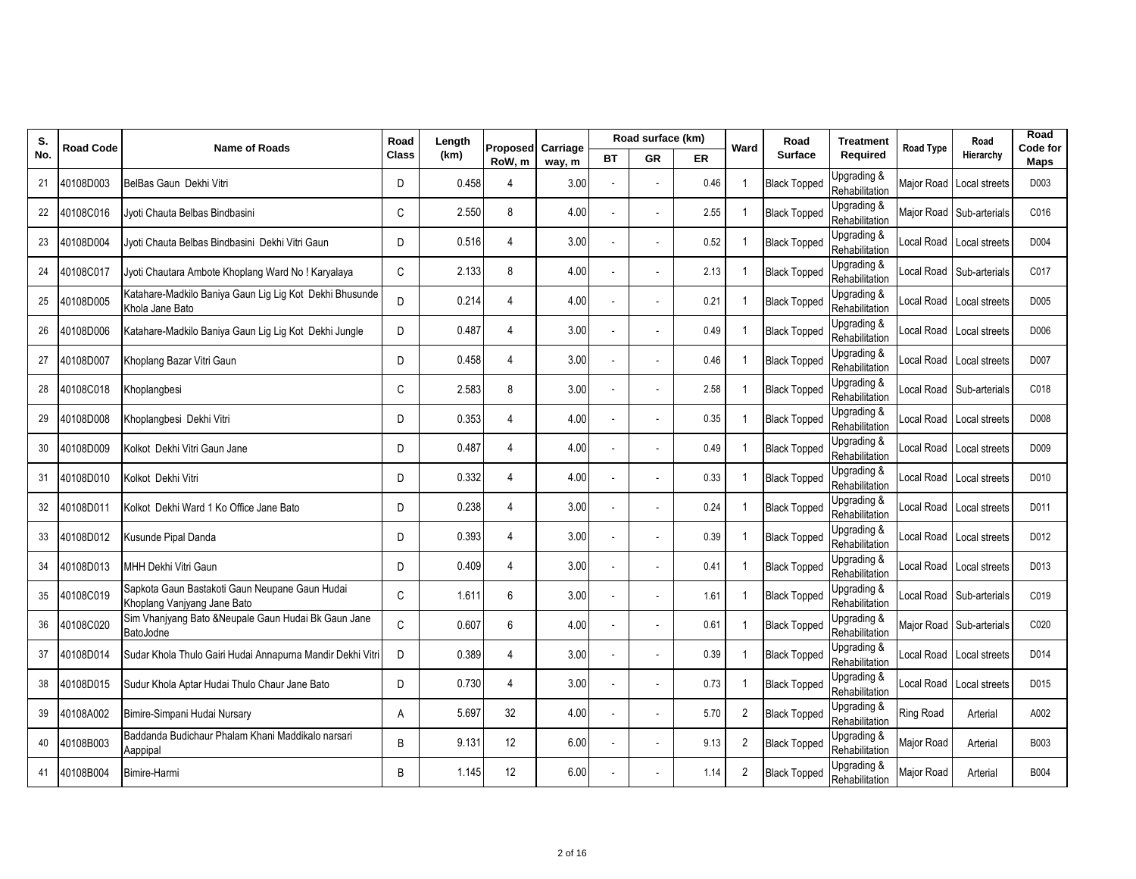| S.  | Road Code | <b>Name of Roads</b>                                                          | Road         | Length | Proposed Carriage |        |    | Road surface (km) |      | Ward           | Road                | <b>Treatment</b>              | <b>Road Type</b>  | Road                       | Road<br>Code for |
|-----|-----------|-------------------------------------------------------------------------------|--------------|--------|-------------------|--------|----|-------------------|------|----------------|---------------------|-------------------------------|-------------------|----------------------------|------------------|
| No. |           |                                                                               | <b>Class</b> | (km)   | RoW, m            | way, m | ВT | GR                | ER   |                | <b>Surface</b>      | Required                      |                   | Hierarchy                  | Maps             |
| 21  | 40108D003 | BelBas Gaun Dekhi Vitri                                                       | D            | 0.458  | 4                 | 3.00   |    |                   | 0.46 | $\overline{1}$ | <b>Black Topped</b> | Upgrading &<br>Rehabilitation |                   | Major Road Local streets   | D003             |
| 22  | 40108C016 | Jyoti Chauta Belbas Bindbasini                                                | C            | 2.550  | 8                 | 4.00   |    |                   | 2.55 | -1             | <b>Black Topped</b> | Upgrading &<br>Rehabilitation |                   | Major Road Sub-arterials   | C016             |
| 23  | 40108D004 | Jvoti Chauta Belbas Bindbasini Dekhi Vitri Gaun                               | D            | 0.516  | $\overline{4}$    | 3.00   |    |                   | 0.52 | $\overline{1}$ | <b>Black Topped</b> | Upgrading &<br>Rehabilitation |                   | Local Road Local streets   | D004             |
| 24  | 40108C017 | Jyoti Chautara Ambote Khoplang Ward No! Karyalaya                             | C            | 2.133  | 8                 | 4.00   |    |                   | 2.13 | -1             | <b>Black Topped</b> | Upgrading &<br>Rehabilitation |                   | Local Road Sub-arterials   | C017             |
| 25  | 40108D005 | Katahare-Madkilo Baniya Gaun Lig Lig Kot Dekhi Bhusunde<br>Khola Jane Bato    | D            | 0.214  | 4                 | 4.00   |    |                   | 0.21 | -1             | <b>Black Topped</b> | Upgrading &<br>Rehabilitation |                   | Local Road Local streets   | D005             |
| 26  | 40108D006 | Katahare-Madkilo Baniya Gaun Lig Lig Kot Dekhi Jungle                         | D            | 0.487  | 4                 | 3.00   |    |                   | 0.49 | $\mathbf 1$    | <b>Black Topped</b> | Upgrading &<br>Rehabilitation |                   | Local Road Local streets   | D006             |
| 27  | 40108D007 | Khoplang Bazar Vitri Gaun                                                     | D            | 0.458  | $\overline{4}$    | 3.00   |    |                   | 0.46 | -1             | <b>Black Topped</b> | Upgrading &<br>Rehabilitation |                   | Local Road Local streets   | D007             |
| 28  | 40108C018 | Khoplangbesi                                                                  | C            | 2.583  | 8                 | 3.00   |    |                   | 2.58 | $\overline{1}$ | <b>Black Topped</b> | Upgrading &<br>Rehabilitation |                   | ocal Road Sub-arterials    | C018             |
| 29  | 40108D008 | Khoplangbesi Dekhi Vitri                                                      | D            | 0.353  | $\overline{4}$    | 4.00   |    |                   | 0.35 | $\overline{1}$ | <b>Black Topped</b> | Upgrading &<br>Rehabilitation |                   | Local Road   Local streets | D008             |
| 30  | 40108D009 | Kolkot Dekhi Vitri Gaun Jane                                                  | D            | 0.487  | $\overline{4}$    | 4.00   |    |                   | 0.49 | -1             | <b>Black Topped</b> | Upgrading &<br>Rehabilitation |                   | Local Road Local streets   | D009             |
| 31  | 40108D010 | Kolkot Dekhi Vitri                                                            | D            | 0.332  | 4                 | 4.00   |    |                   | 0.33 | $\overline{1}$ | <b>Black Topped</b> | Upgrading &<br>Rehabilitation |                   | Local Road Local streets   | D010             |
| 32  | 40108D011 | Kolkot Dekhi Ward 1 Ko Office Jane Bato                                       | D            | 0.238  | $\overline{4}$    | 3.00   |    |                   | 0.24 | $\mathbf 1$    | <b>Black Topped</b> | Upgrading &<br>Rehabilitation |                   | Local Road Local streets   | D011             |
| 33  | 40108D012 | Kusunde Pipal Danda                                                           | D            | 0.393  | $\overline{4}$    | 3.00   |    |                   | 0.39 | -1             | <b>Black Topped</b> | Upgrading &<br>Rehabilitation |                   | ocal Road Local streets    | D012             |
| 34  | 40108D013 | MHH Dekhi Vitri Gaun                                                          | D            | 0.409  | 4                 | 3.00   |    |                   | 0.41 | 1              | <b>Black Topped</b> | Upgrading &<br>Rehabilitation |                   | Local Road Local streets   | D013             |
| 35  | 40108C019 | Sapkota Gaun Bastakoti Gaun Neupane Gaun Hudai<br>Khoplang Vanjyang Jane Bato | C            | 1.611  | 6                 | 3.00   |    |                   | 1.61 | $\mathbf 1$    | <b>Black Topped</b> | Upgrading &<br>Rehabilitation |                   | Local Road Sub-arterials   | C019             |
| 36  | 40108C020 | Sim Vhanjyang Bato & Neupale Gaun Hudai Bk Gaun Jane<br>BatoJodne             | C            | 0.607  | 6                 | 4.00   |    |                   | 0.61 | -1             | <b>Black Topped</b> | Upgrading &<br>Rehabilitation | Major Road        | Sub-arterials              | C020             |
| 37  | 40108D014 | Sudar Khola Thulo Gairi Hudai Annapurna Mandir Dekhi Vitri                    | D            | 0.389  | $\overline{4}$    | 3.00   |    |                   | 0.39 | -1             | <b>Black Topped</b> | Upgrading &<br>Rehabilitation | Local Road        | Local streets              | D014             |
| 38  | 40108D015 | Sudur Khola Aptar Hudai Thulo Chaur Jane Bato                                 | D            | 0.730  | $\overline{4}$    | 3.00   |    |                   | 0.73 | $\mathbf 1$    | <b>Black Topped</b> | Upgrading &<br>Rehabilitation |                   | Local Road   Local streets | D015             |
| 39  | 40108A002 | Bimire-Simpani Hudai Nursary                                                  | Α            | 5.697  | 32                | 4.00   |    |                   | 5.70 | $\overline{2}$ | <b>Black Topped</b> | Upgrading &<br>Rehabilitation | <b>Ring Road</b>  | Arterial                   | A002             |
| 40  | 40108B003 | Baddanda Budichaur Phalam Khani Maddikalo narsari<br>Aappipal                 | B            | 9.131  | 12                | 6.00   |    |                   | 9.13 | $\overline{2}$ | <b>Black Topped</b> | Upgrading &<br>Rehabilitation | Major Road        | Arterial                   | B003             |
| 41  | 40108B004 | Bimire-Harmi                                                                  | B            | 1.145  | 12                | 6.00   |    |                   | 1.14 | 2              | <b>Black Topped</b> | Upgrading &<br>Rehabilitation | <b>Major Road</b> | Arterial                   | B004             |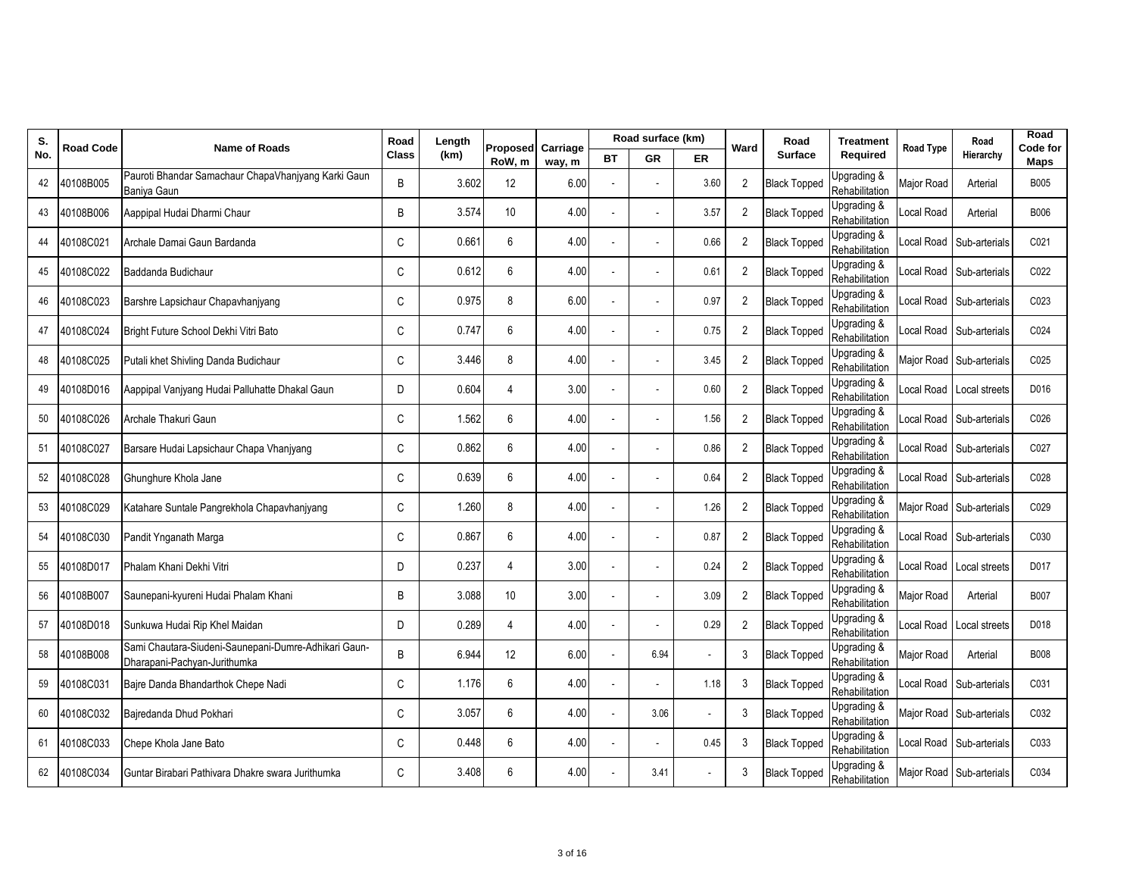| S.  | Road Code | <b>Name of Roads</b>                                                                 | Road         | Length | Proposed Carriage |        |    | Road surface (km) |      | Ward           | Road                | <b>Treatment</b>                         | Road Type  | Road                     | Road<br>Code for |
|-----|-----------|--------------------------------------------------------------------------------------|--------------|--------|-------------------|--------|----|-------------------|------|----------------|---------------------|------------------------------------------|------------|--------------------------|------------------|
| No. |           |                                                                                      | <b>Class</b> | (km)   | RoW, m            | way, m | ВT | GR                | ER   |                | <b>Surface</b>      | Required                                 |            | Hierarchy                | Maps             |
| 42  | 40108B005 | Pauroti Bhandar Samachaur ChapaVhanjyang Karki Gaun<br>Baniya Gaun                   | B            | 3.602  | 12                | 6.00   |    |                   | 3.60 | 2              | <b>Black Topped</b> | Upgrading &<br>Rehabilitation            | Major Road | Arterial                 | <b>B005</b>      |
| 43  | 40108B006 | Aappipal Hudai Dharmi Chaur                                                          | B            | 3.574  | 10                | 4.00   |    |                   | 3.57 | 2              | <b>Black Topped</b> | Upgrading &<br>Rehabilitation            | ocal Road  | Arterial                 | B006             |
| 44  | 40108C021 | Archale Damai Gaun Bardanda                                                          | C            | 0.661  | 6                 | 4.00   |    |                   | 0.66 | 2              | <b>Black Topped</b> | Upgrading &<br>Rehabilitation            | Local Road | Sub-arterials            | C021             |
| 45  | 40108C022 | Baddanda Budichaur                                                                   | C            | 0.612  | 6                 | 4.00   |    |                   | 0.61 | 2              | <b>Black Topped</b> | Upgrading &<br>Rehabilitation            | ocal Road  | Sub-arterials            | C022             |
| 46  | 40108C023 | Barshre Lapsichaur Chapavhanjyang                                                    | C            | 0.975  | 8                 | 6.00   |    |                   | 0.97 | $\overline{2}$ | <b>Black Topped</b> | Upgrading &<br>Rehabilitation            | ocal Road  | Sub-arterials            | C023             |
| 47  | 40108C024 | Bright Future School Dekhi Vitri Bato                                                | C            | 0.747  | 6                 | 4.00   |    |                   | 0.75 | 2              | <b>Black Topped</b> | Upgrading &<br>Rehabilitation            | ocal Road. | Sub-arterials            | C024             |
| 48  | 40108C025 | Putali khet Shivling Danda Budichaur                                                 | C            | 3.446  | 8                 | 4.00   |    |                   | 3.45 | $\overline{2}$ | <b>Black Topped</b> | Upgrading &<br>Rehabilitation            | Major Road | Sub-arterials            | C025             |
| 49  | 40108D016 | Aappipal Vanjyang Hudai Palluhatte Dhakal Gaun                                       | D            | 0.604  | $\overline{4}$    | 3.00   |    |                   | 0.60 | 2              | <b>Black Topped</b> | Upgrading &<br>Rehabilitation            | ocal Road  | Local streets            | D016             |
| 50  | 40108C026 | Archale Thakuri Gaun                                                                 | C            | 1.562  | 6                 | 4.00   |    |                   | 1.56 | $\overline{2}$ | <b>Black Topped</b> | Upgrading &<br>Rehabilitation            | ocal Road  | Sub-arterials            | C026             |
| 51  | 40108C027 | Barsare Hudai Lapsichaur Chapa Vhanjyang                                             | C            | 0.862  | 6                 | 4.00   |    |                   | 0.86 | $\overline{2}$ | <b>Black Topped</b> | Upgrading &<br>Rehabilitation            | ocal Road  | Sub-arterials            | C027             |
| 52  | 40108C028 | Ghunghure Khola Jane                                                                 | C            | 0.639  | 6                 | 4.00   |    |                   | 0.64 | 2              | <b>Black Topped</b> | Upgrading &<br>Rehabilitation            | ocal Road  | Sub-arterials            | C028             |
| 53  | 40108C029 | Katahare Suntale Pangrekhola Chapavhanjyang                                          | C            | 1.260  | 8                 | 4.00   |    |                   | 1.26 | 2              | <b>Black Topped</b> | Upgrading &<br>Rehabilitation            |            | Major Road Sub-arterials | C029             |
| 54  | 40108C030 | Pandit Ynganath Marga                                                                | C            | 0.867  | 6                 | 4.00   |    |                   | 0.87 | 2              | <b>Black Topped</b> | Upgrading &<br>Rehabilitation            | ocal Road  | Sub-arterials            | C030             |
| 55  | 40108D017 | Phalam Khani Dekhi Vitri                                                             | D            | 0.237  | 4                 | 3.00   |    |                   | 0.24 | $\overline{2}$ | <b>Black Topped</b> | Upgrading &<br>Rehabilitation            | ocal Road  | Local streets            | D017             |
| 56  | 40108B007 | Saunepani-kyureni Hudai Phalam Khani                                                 | B            | 3.088  | 10                | 3.00   |    |                   | 3.09 | $\overline{2}$ | <b>Black Topped</b> | Upgrading &<br>Rehabilitation            | Major Road | Arterial                 | <b>B007</b>      |
| 57  | 40108D018 | Sunkuwa Hudai Rip Khel Maidan                                                        | D            | 0.289  | $\overline{4}$    | 4.00   |    |                   | 0.29 | 2              | <b>Black Topped</b> | Upgrading &<br>Rehabilitation            | ocal Road  | Local streets            | D018             |
| 58  | 40108B008 | Sami Chautara-Siudeni-Saunepani-Dumre-Adhikari Gaun-<br>Dharapani-Pachyan-Jurithumka | B            | 6.944  | 12                | 6.00   |    | 6.94              |      | 3              | <b>Black Topped</b> | Upgrading &<br>Rehabilitation            | Major Road | Arterial                 | <b>B008</b>      |
| 59  | 40108C031 | Baire Danda Bhandarthok Chepe Nadi                                                   | C            | 1.176  | 6                 | 4.00   |    |                   | 1.18 | 3              | <b>Black Topped</b> | Upgrading &<br>Rehabilitation            | ocal Road  | Sub-arterials            | C031             |
| 60  | 40108C032 | Bajredanda Dhud Pokhari                                                              | C            | 3.057  | 6                 | 4.00   |    | 3.06              |      | 3              | <b>Black Topped</b> | Upgrading &<br>Rehabilitation            | Major Road | Sub-arterials            | C032             |
| 61  | 40108C033 | Chepe Khola Jane Bato                                                                | C            | 0.448  | 6                 | 4.00   |    |                   | 0.45 | 3              | <b>Black Topped</b> | Upgrading &<br>Rehabilitation            | ccal Road  | Sub-arterials            | C033             |
| 62  | 40108C034 | Guntar Birabari Pathivara Dhakre swara Jurithumka                                    | C            | 3.408  | 6                 | 4.00   |    | 3.41              |      | 3              | <b>Black Topped</b> | <b>Jpgrading &amp;</b><br>Rehabilitation |            | Major Road Sub-arterials | C034             |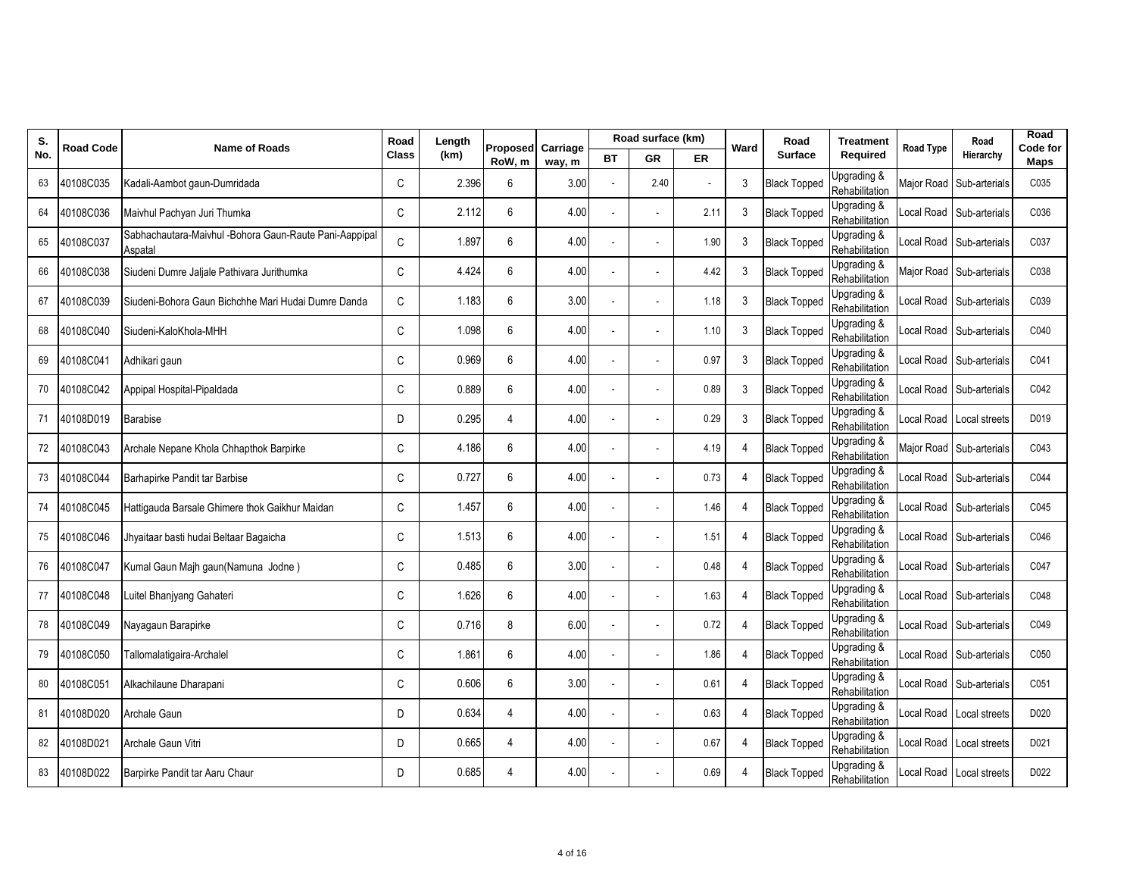| S.  | Road Code | <b>Name of Roads</b>                                              | Road         | Length | Proposed Carriage |        |    | Road surface (km) |      | Ward           | Road                | <b>Treatment</b>                         | <b>Road Type</b> | Road                     | Road<br>Code for |
|-----|-----------|-------------------------------------------------------------------|--------------|--------|-------------------|--------|----|-------------------|------|----------------|---------------------|------------------------------------------|------------------|--------------------------|------------------|
| No. |           |                                                                   | <b>Class</b> | (km)   | RoW, m            | way, m | ВT | GR                | ER   |                | <b>Surface</b>      | Required                                 |                  | Hierarchy                | <b>Maps</b>      |
| 63  | 40108C035 | Kadali-Aambot gaun-Dumridada                                      | C            | 2.396  | 6                 | 3.00   |    | 2.40              |      | 3              | <b>Black Topped</b> | Upgrading &<br>Rehabilitation            | Major Road       | Sub-arterials            | C035             |
| 64  | 40108C036 | Maivhul Pachyan Juri Thumka                                       | C            | 2.112  | 6                 | 4.00   |    |                   | 2.11 | 3              | <b>Black Topped</b> | Upgrading &<br>Rehabilitation            | ccal Road        | Sub-arterials            | C036             |
| 65  | 40108C037 | Sabhachautara-Maivhul -Bohora Gaun-Raute Pani-Aappipal<br>Aspatal | C            | 1.897  | 6                 | 4.00   |    |                   | 1.90 | 3              | <b>Black Topped</b> | Upgrading &<br>Rehabilitation            | Local Road       | Sub-arterials            | C037             |
| 66  | 40108C038 | Siudeni Dumre Jaljale Pathivara Jurithumka                        | C            | 4.424  | 6                 | 4.00   |    |                   | 4.42 | 3              | <b>Black Topped</b> | Upgrading &<br>Rehabilitation            |                  | Major Road Sub-arterials | C038             |
| 67  | 40108C039 | Siudeni-Bohora Gaun Bichchhe Mari Hudai Dumre Danda               | C            | 1.183  | 6                 | 3.00   |    |                   | 1.18 | 3              | <b>Black Topped</b> | Upgrading &<br>Rehabilitation            | ocal Road        | Sub-arterials            | C039             |
| 68  | 40108C040 | Siudeni-KaloKhola-MHH                                             | C            | 1.098  | 6                 | 4.00   |    |                   | 1.10 | 3              | <b>Black Topped</b> | Upgrading &<br>Rehabilitation            | ocal Road        | Sub-arterials            | C040             |
| 69  | 40108C041 | Adhikari qaun                                                     | C            | 0.969  | 6                 | 4.00   |    |                   | 0.97 | 3              | <b>Black Topped</b> | Upgrading &<br>Rehabilitation            | ocal Road        | Sub-arterials            | C041             |
| 70  | 40108C042 | Appipal Hospital-Pipaldada                                        | C            | 0.889  | 6                 | 4.00   |    |                   | 0.89 | 3              | <b>Black Topped</b> | Upgrading &<br>Rehabilitation            | ocal Road        | Sub-arterials            | C042             |
| 71  | 40108D019 | Barabise                                                          | D            | 0.295  | $\overline{4}$    | 4.00   |    |                   | 0.29 | 3              | <b>Black Topped</b> | Upgrading &<br>Rehabilitation            | ocal Road        | Local streets            | D019             |
| 72  | 40108C043 | Archale Nepane Khola Chhapthok Barpirke                           | C            | 4.186  | 6                 | 4.00   |    |                   | 4.19 | 4              | <b>Black Topped</b> | Upgrading &<br>Rehabilitation            | Major Road       | Sub-arterials            | C043             |
| 73  | 40108C044 | Barhapirke Pandit tar Barbise                                     | C            | 0.727  | 6                 | 4.00   |    |                   | 0.73 | 4              | <b>Black Topped</b> | Upgrading &<br>Rehabilitation            | ocal Road        | Sub-arterials            | C044             |
| 74  | 40108C045 | Hattigauda Barsale Ghimere thok Gaikhur Maidan                    | C            | 1.457  | 6                 | 4.00   |    |                   | 1.46 | 4              | <b>Black Topped</b> | Upgrading &<br>Rehabilitation            | ocal Road        | Sub-arterials            | C045             |
| 75  | 40108C046 | Jhyaitaar basti hudai Beltaar Bagaicha                            | C            | 1.513  | 6                 | 4.00   |    |                   | 1.51 | 4              | <b>Black Topped</b> | Upgrading &<br>Rehabilitation            | ocal Road        | Sub-arterials            | C046             |
| 76  | 40108C047 | Kumal Gaun Majh gaun(Namuna Jodne)                                | C            | 0.485  | 6                 | 3.00   |    |                   | 0.48 | 4              | <b>Black Topped</b> | Upgrading &<br>Rehabilitation            | ocal Road        | Sub-arterials            | C047             |
| 77  | 40108C048 | Luitel Bhanjyang Gahateri                                         | C            | 1.626  | 6                 | 4.00   |    |                   | 1.63 | $\overline{4}$ | <b>Black Topped</b> | Upgrading &<br>Rehabilitation            | ocal Road        | Sub-arterials            | C048             |
| 78  | 40108C049 | Nayagaun Barapirke                                                | C            | 0.716  | 8                 | 6.00   |    |                   | 0.72 | 4              | <b>Black Topped</b> | Upgrading &<br>Rehabilitation            | ocal Road        | Sub-arterials            | C049             |
| 79  | 40108C050 | Tallomalatigaira-Archalel                                         | C            | 1.861  | 6                 | 4.00   |    |                   | 1.86 | 4              | <b>Black Topped</b> | Upgrading &<br>Rehabilitation            | ccal Road        | Sub-arterials            | C050             |
| 80  | 40108C051 | Alkachilaune Dharapani                                            | C            | 0.606  | 6                 | 3.00   |    |                   | 0.61 | $\overline{4}$ | <b>Black Topped</b> | Upgrading &<br>Rehabilitation            | ocal Road        | Sub-arterials            | C051             |
| 81  | 40108D020 | Archale Gaun                                                      | D            | 0.634  | $\overline{4}$    | 4.00   |    |                   | 0.63 | 4              | <b>Black Topped</b> | Upgrading &<br>Rehabilitation            | ocal Road        | Local streets            | D020             |
| 82  | 40108D021 | Archale Gaun Vitri                                                | D            | 0.665  | $\overline{4}$    | 4.00   |    |                   | 0.67 | 4              | <b>Black Topped</b> | Upgrading &<br>Rehabilitation            | ccal Road        | Local streets            | D021             |
| 83  | 40108D022 | Barpirke Pandit tar Aaru Chaur                                    | D            | 0.685  | $\overline{4}$    | 4.00   |    |                   | 0.69 | 4              | <b>Black Topped</b> | <b>Jpgrading &amp;</b><br>Rehabilitation |                  | Local Road Local streets | D022             |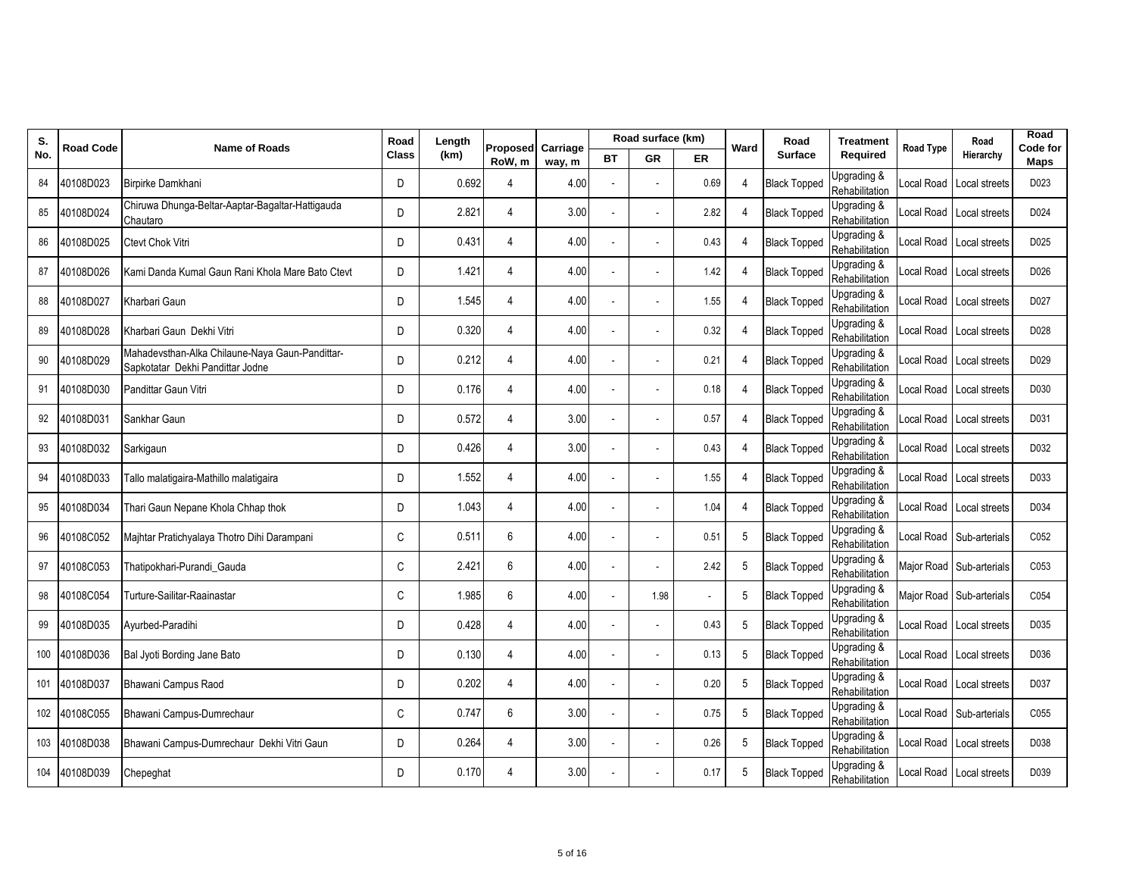| S.  | Road Code | <b>Name of Roads</b>                                                                | Road         | Length | Proposed Carriage |        |    | Road surface (km) |      | Ward                        | Road                | <b>Treatment</b>              | <b>Road Type</b> | Road                     | Road<br>Code for |
|-----|-----------|-------------------------------------------------------------------------------------|--------------|--------|-------------------|--------|----|-------------------|------|-----------------------------|---------------------|-------------------------------|------------------|--------------------------|------------------|
| No. |           |                                                                                     | <b>Class</b> | (km)   | RoW.m             | way, m | BТ | GR                | ER   |                             | <b>Surface</b>      | Required                      |                  | Hierarchy                | Maps             |
| 84  | 40108D023 | Birpirke Damkhani                                                                   | D            | 0.692  | 4                 | 4.00   |    |                   | 0.69 | 4                           | <b>Black Topped</b> | Upgrading &<br>Rehabilitation | ocal Road.       | Local streets            | D023             |
| 85  | 40108D024 | Chiruwa Dhunga-Beltar-Aaptar-Bagaltar-Hattigauda<br>Chautaro                        | D            | 2.821  | 4                 | 3.00   |    |                   | 2.82 | 4                           | <b>Black Topped</b> | Upgrading &<br>Rehabilitation | ocal Road        | Local streets            | D024             |
| 86  | 40108D025 | Ctevt Chok Vitri                                                                    | D            | 0.431  | $\overline{4}$    | 4.00   |    |                   | 0.43 | 4                           | <b>Black Topped</b> | Upgrading &<br>Rehabilitation | ocal Road        | Local streets            | D025             |
| 87  | 40108D026 | Kami Danda Kumal Gaun Rani Khola Mare Bato Ctevt                                    | D            | 1.421  | $\overline{4}$    | 4.00   |    |                   | 1.42 | $\boldsymbol{\vartriangle}$ | <b>Black Topped</b> | Upgrading &<br>Rehabilitation | ocal Road        | Local streets            | D026             |
| 88  | 40108D027 | Kharbari Gaun                                                                       | D            | 1.545  | 4                 | 4.00   |    |                   | 1.55 | 4                           | <b>Black Topped</b> | Upgrading &<br>Rehabilitation | ocal Road        | Local streets            | D027             |
| 89  | 40108D028 | Kharbari Gaun Dekhi Vitri                                                           | D            | 0.320  | $\overline{4}$    | 4.00   |    |                   | 0.32 | 4                           | <b>Black Topped</b> | Upgrading &<br>Rehabilitation | ocal Road.       | Local streets            | D028             |
| 90  | 40108D029 | Mahadevsthan-Alka Chilaune-Naya Gaun-Pandittar-<br>Sapkotatar Dekhi Pandittar Jodne | D            | 0.212  | $\overline{4}$    | 4.00   |    |                   | 0.21 | 4                           | <b>Black Topped</b> | Upgrading &<br>Rehabilitation |                  | ocal Road Local streets  | D029             |
| 91  | 40108D030 | Pandittar Gaun Vitri                                                                | D            | 0.176  | 4                 | 4.00   |    |                   | 0.18 | 4                           | <b>Black Topped</b> | Upgrading &<br>Rehabilitation | ocal Road        | Local streets            | D030             |
| 92  | 40108D031 | Sankhar Gaun                                                                        | D            | 0.572  | $\overline{4}$    | 3.00   |    |                   | 0.57 | 4                           | <b>Black Topped</b> | Upgrading &<br>Rehabilitation |                  | ocal Road Local streets  | D031             |
| 93  | 40108D032 | Sarkigaun                                                                           | D            | 0.426  | $\overline{4}$    | 3.00   |    |                   | 0.43 | 4                           | <b>Black Topped</b> | Upgrading &<br>Rehabilitation | ocal Road        | Local streets            | D032             |
| 94  | 40108D033 | Tallo malatigaira-Mathillo malatigaira                                              | D            | 1.552  | 4                 | 4.00   |    |                   | 1.55 | 4                           | <b>Black Topped</b> | Upgrading &<br>Rehabilitation | ocal Road        | Local streets            | D033             |
| 95  | 40108D034 | Thari Gaun Nepane Khola Chhap thok                                                  | D            | 1.043  | 4                 | 4.00   |    |                   | 1.04 | 4                           | <b>Black Topped</b> | Upgrading &<br>Rehabilitation |                  | Local Road Local streets | D034             |
| 96  | 40108C052 | Maihtar Pratichyalaya Thotro Dihi Darampani                                         | C            | 0.511  | 6                 | 4.00   |    |                   | 0.51 | 5                           | <b>Black Topped</b> | Upgrading &<br>Rehabilitation | ocal Road        | Sub-arterials            | C052             |
| 97  | 40108C053 | Thatipokhari-Purandi Gauda                                                          | C            | 2.421  | $6\overline{6}$   | 4.00   |    |                   | 2.42 | 5                           | <b>Black Topped</b> | Upgrading &<br>Rehabilitation |                  | Major Road Sub-arterials | C053             |
| 98  | 40108C054 | Turture-Sailitar-Raainastar                                                         | C            | 1.985  | 6                 | 4.00   |    | 1.98              |      | 5                           | <b>Black Topped</b> | Upgrading &<br>Rehabilitation |                  | Major Road Sub-arterials | C054             |
| 99  | 40108D035 | Ayurbed-Paradihi                                                                    | D            | 0.428  | 4                 | 4.00   |    |                   | 0.43 | 5                           | <b>Black Topped</b> | Upgrading &<br>Rehabilitation | ocal Road        | Local streets            | D035             |
| 100 | 40108D036 | Bal Jyoti Bording Jane Bato                                                         | D            | 0.130  | 4                 | 4.00   |    |                   | 0.13 | 5                           | <b>Black Topped</b> | Upgrading &<br>Rehabilitation | ocal Road        | Local streets            | D036             |
| 101 | 40108D037 | Bhawani Campus Raod                                                                 | D            | 0.202  | $\overline{4}$    | 4.00   |    |                   | 0.20 | 5                           | <b>Black Topped</b> | Upgrading &<br>Rehabilitation | ocal Road        | Local streets            | D037             |
| 102 | 40108C055 | Bhawani Campus-Dumrechaur                                                           | C            | 0.747  | 6                 | 3.00   |    |                   | 0.75 | 5                           | <b>Black Topped</b> | Upgrading &<br>Rehabilitation | ocal Road        | Sub-arterials            | C055             |
| 103 | 40108D038 | Bhawani Campus-Dumrechaur Dekhi Vitri Gaun                                          | D            | 0.264  | 4                 | 3.00   |    |                   | 0.26 | 5                           | <b>Black Topped</b> | Upgrading &<br>Rehabilitation | ocal Road        | Local streets            | D038             |
| 104 | 40108D039 | Chepeghat                                                                           | D            | 0.170  | $\overline{4}$    | 3.00   |    |                   | 0.17 | 5                           | <b>Black Topped</b> | Jpgrading &<br>Rehabilitation |                  | Local Road Local streets | D039             |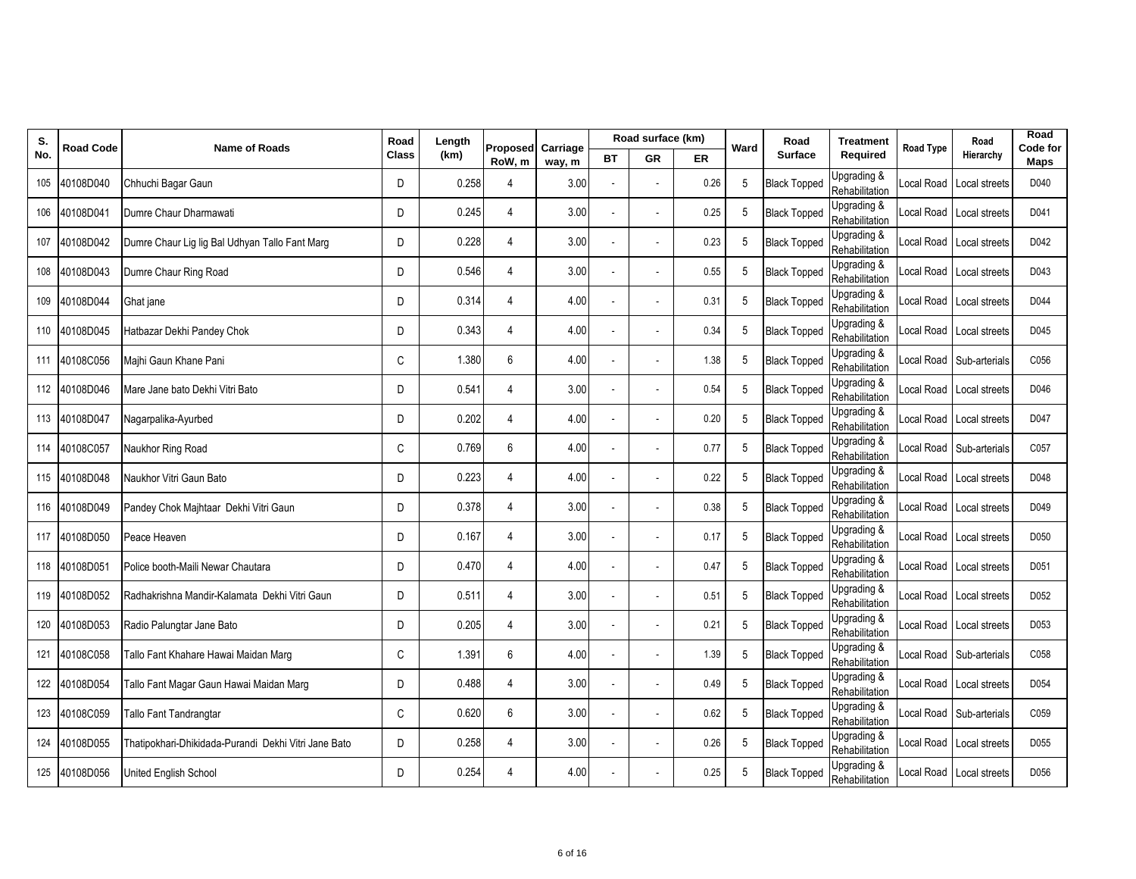| S.  | <b>Road Code</b> | <b>Name of Roads</b>                                 | Road         | Length | Proposed       | Carriage |    | Road surface (km) |      | Ward | Road                | <b>Treatment</b>              | <b>Road Type</b> | Road                     | Road<br>Code for |
|-----|------------------|------------------------------------------------------|--------------|--------|----------------|----------|----|-------------------|------|------|---------------------|-------------------------------|------------------|--------------------------|------------------|
| No. |                  |                                                      | <b>Class</b> | (km)   | RoW, m         | way, m   | ВT | <b>GR</b>         | ER   |      | <b>Surface</b>      | Required                      |                  | Hierarchy                | Maps             |
| 105 | 40108D040        | Chhuchi Bagar Gaun                                   | D            | 0.258  | 4              | 3.00     |    |                   | 0.26 | 5    | <b>Black Topped</b> | Upgrading &<br>Rehabilitation | ocal Road        | Local streets            | D040             |
| 106 | 40108D041        | Dumre Chaur Dharmawati                               | D            | 0.245  | $\overline{4}$ | 3.00     |    |                   | 0.25 | 5    | <b>Black Topped</b> | Upgrading &<br>Rehabilitation | ocal Road        | Local streets            | D041             |
| 107 | 40108D042        | Dumre Chaur Lig lig Bal Udhyan Tallo Fant Marg       | D            | 0.228  | $\overline{4}$ | 3.00     |    |                   | 0.23 | 5    | <b>Black Topped</b> | Upgrading &<br>Rehabilitation | ocal Road        | Local streets            | D042             |
| 108 | 40108D043        | Dumre Chaur Ring Road                                | D            | 0.546  | $\overline{4}$ | 3.00     |    |                   | 0.55 | 5    | <b>Black Topped</b> | Upgrading &<br>Rehabilitation | ocal Road        | Local streets            | D043             |
|     | 109 40108D044    | Ghat jane                                            | D            | 0.314  | $\overline{4}$ | 4.00     |    |                   | 0.31 | 5    | <b>Black Topped</b> | Upgrading &<br>Rehabilitation | ocal Road        | Local streets            | D044             |
| 110 | 40108D045        | Hatbazar Dekhi Pandey Chok                           | D            | 0.343  | $\overline{4}$ | 4.00     |    |                   | 0.34 | 5    | <b>Black Topped</b> | Upgrading &<br>Rehabilitation |                  | Local Road Local streets | D045             |
| 111 | 40108C056        | Majhi Gaun Khane Pani                                | C            | 1.380  | 6              | 4.00     |    |                   | 1.38 | 5    | <b>Black Topped</b> | Upgrading &<br>Rehabilitation | ocal Road        | Sub-arterials            | C056             |
|     | 112 40108D046    | Mare Jane bato Dekhi Vitri Bato                      | D            | 0.541  | $\overline{4}$ | 3.00     |    |                   | 0.54 | 5    | <b>Black Topped</b> | Upgrading &<br>Rehabilitation | ocal Road        | Local streets            | D046             |
|     | 113 40108D047    | Nagarpalika-Ayurbed                                  | D            | 0.202  | $\overline{4}$ | 4.00     |    |                   | 0.20 | 5    | <b>Black Topped</b> | Upgrading &<br>Rehabilitation |                  | Local Road Local streets | D047             |
| 114 | 40108C057        | Naukhor Ring Road                                    | C            | 0.769  | 6              | 4.00     |    |                   | 0.77 | 5    | <b>Black Topped</b> | Upgrading &<br>Rehabilitation | ocal Road        | Sub-arterials            | C057             |
| 115 | 40108D048        | Naukhor Vitri Gaun Bato                              | D            | 0.223  | 4              | 4.00     |    |                   | 0.22 | 5    | <b>Black Topped</b> | Upgrading &<br>Rehabilitation | ocal Road        | Local streets            | D048             |
| 116 | 40108D049        | Pandey Chok Majhtaar Dekhi Vitri Gaun                | D            | 0.378  | $\overline{4}$ | 3.00     |    |                   | 0.38 | 5    | <b>Black Topped</b> | Upgrading &<br>Rehabilitation | ocal Road        | Local streets            | D049             |
| 117 | 40108D050        | Peace Heaven                                         | D            | 0.167  | $\overline{4}$ | 3.00     |    |                   | 0.17 | 5    | <b>Black Topped</b> | Upgrading &<br>Rehabilitation | ocal Road        | Local streets            | D050             |
| 118 | 40108D051        | Police booth-Maili Newar Chautara                    | D            | 0.470  | $\overline{4}$ | 4.00     |    |                   | 0.47 | 5    | <b>Black Topped</b> | Upgrading &<br>Rehabilitation | ocal Road        | Local streets            | D051             |
|     | 119 40108D052    | Radhakrishna Mandir-Kalamata Dekhi Vitri Gaun        | D            | 0.511  | $\overline{4}$ | 3.00     |    |                   | 0.51 | 5    | <b>Black Topped</b> | Upgrading &<br>Rehabilitation | ocal Road        | Local streets            | D052             |
| 120 | 40108D053        | Radio Palungtar Jane Bato                            | D            | 0.205  | 4              | 3.00     |    |                   | 0.21 | 5    | <b>Black Topped</b> | Upgrading &<br>Rehabilitation | ocal Road        | Local streets            | D053             |
| 121 | 40108C058        | Tallo Fant Khahare Hawai Maidan Marg                 | C            | 1.391  | 6              | 4.00     |    |                   | 1.39 | 5    | <b>Black Topped</b> | Upgrading &<br>Rehabilitation | ccal Road        | Sub-arterials            | C058             |
|     | 122 40108D054    | Tallo Fant Magar Gaun Hawai Maidan Marg              | D            | 0.488  | $\overline{4}$ | 3.00     |    |                   | 0.49 | 5    | <b>Black Topped</b> | Upgrading &<br>Rehabilitation | ocal Road        | Local streets            | D054             |
| 123 | 40108C059        | Tallo Fant Tandrangtar                               | C            | 0.620  | 6              | 3.00     |    |                   | 0.62 | 5    | <b>Black Topped</b> | Upgrading &<br>Rehabilitation | ocal Road        | Sub-arterials            | C059             |
| 124 | 40108D055        | Thatipokhari-Dhikidada-Purandi Dekhi Vitri Jane Bato | D            | 0.258  | $\overline{4}$ | 3.00     |    |                   | 0.26 | 5    | <b>Black Topped</b> | Upgrading &<br>Rehabilitation | ccal Road        | Local streets            | D055             |
|     | 125 40108D056    | United English School                                | D            | 0.254  | $\overline{4}$ | 4.00     |    |                   | 0.25 | 5    | <b>Black Topped</b> | Upgrading &<br>Rehabilitation |                  | Local Road Local streets | D056             |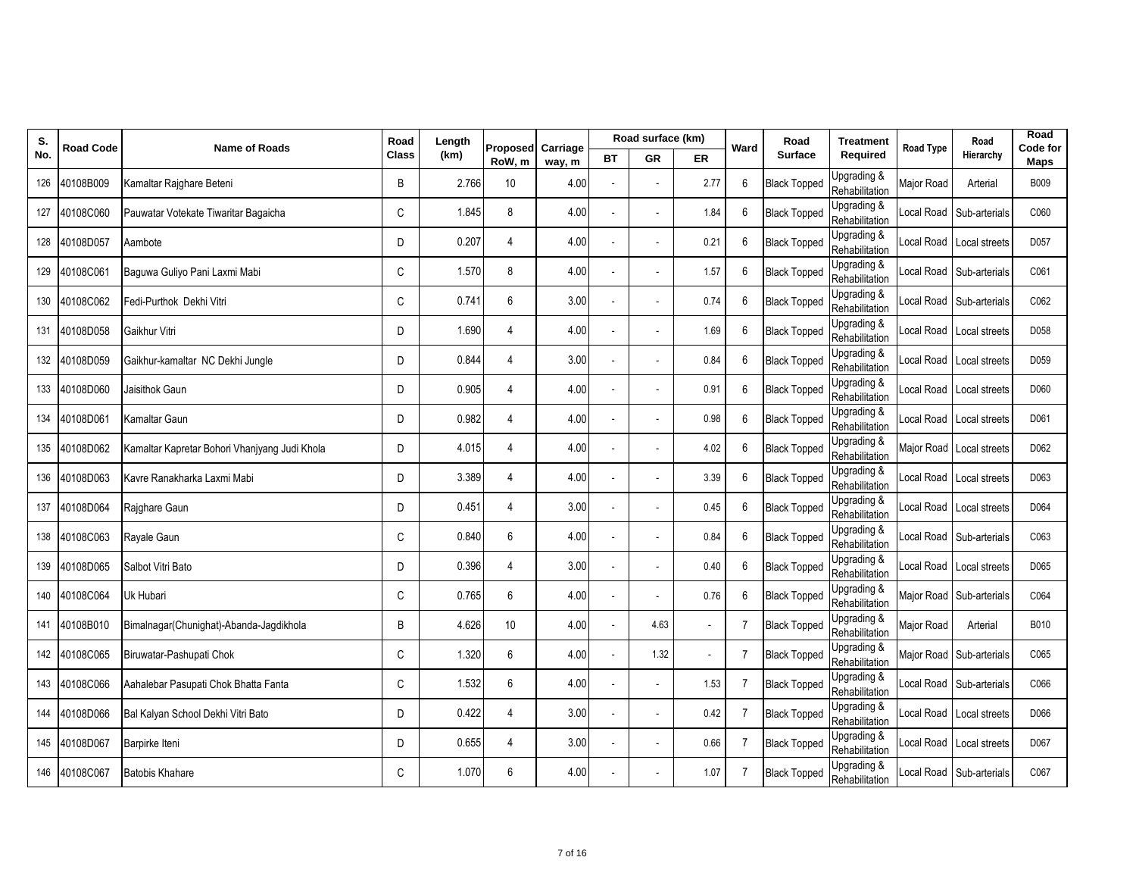| S.  | <b>Road Code</b> | <b>Name of Roads</b>                          | Road         | Length | Proposed         | Carriage |    | Road surface (km) |      | Ward           | Road                | <b>Treatment</b>              | <b>Road Type</b> | Road                     | Road<br>Code for |
|-----|------------------|-----------------------------------------------|--------------|--------|------------------|----------|----|-------------------|------|----------------|---------------------|-------------------------------|------------------|--------------------------|------------------|
| No. |                  |                                               | <b>Class</b> | (km)   | RoW, m           | way, m   | ВT | <b>GR</b>         | ER   |                | <b>Surface</b>      | Required                      |                  | Hierarchy                | Maps             |
| 126 | 40108B009        | Kamaltar Rajghare Beteni                      | B            | 2.766  | 10               | 4.00     |    |                   | 2.77 | 6              | <b>Black Topped</b> | Upgrading &<br>Rehabilitation | Major Road       | Arterial                 | <b>B009</b>      |
| 127 | 40108C060        | Pauwatar Votekate Tiwaritar Bagaicha          | C            | 1.845  | 8                | 4.00     |    |                   | 1.84 | 6              | <b>Black Topped</b> | Upgrading &<br>Rehabilitation | ocal Road        | Sub-arterials            | C060             |
| 128 | 40108D057        | Aambote                                       | D            | 0.207  | $\overline{4}$   | 4.00     |    |                   | 0.21 | 6              | <b>Black Topped</b> | Upgrading &<br>Rehabilitation | ocal Road        | Local streets            | D057             |
| 129 | 40108C061        | Baguwa Guliyo Pani Laxmi Mabi                 | C            | 1.570  | 8                | 4.00     |    |                   | 1.57 | 6              | <b>Black Topped</b> | Upgrading &<br>Rehabilitation | ocal Road        | Sub-arterials            | C061             |
| 130 | 40108C062        | Fedi-Purthok Dekhi Vitri                      | C            | 0.741  | $\boldsymbol{6}$ | 3.00     |    |                   | 0.74 | 6              | <b>Black Topped</b> | Upgrading &<br>Rehabilitation | ocal Road        | Sub-arterials            | C062             |
| 131 | 40108D058        | Gaikhur Vitri                                 | D            | 1.690  | $\overline{4}$   | 4.00     |    |                   | 1.69 | 6              | <b>Black Topped</b> | Upgrading &<br>Rehabilitation |                  | Local Road Local streets | D058             |
| 132 | 40108D059        | Gaikhur-kamaltar NC Dekhi Jungle              | D            | 0.844  | $\overline{4}$   | 3.00     |    |                   | 0.84 | 6              | <b>Black Topped</b> | Upgrading &<br>Rehabilitation | ocal Road        | Local streets            | D059             |
| 133 | 40108D060        | Jaisithok Gaun                                | D            | 0.905  | $\overline{4}$   | 4.00     |    |                   | 0.91 | 6              | <b>Black Topped</b> | Upgrading &<br>Rehabilitation | ocal Road        | Local streets            | D060             |
| 134 | 40108D061        | Kamaltar Gaun                                 | D            | 0.982  | $\overline{4}$   | 4.00     |    |                   | 0.98 | 6              | <b>Black Topped</b> | Upgrading &<br>Rehabilitation |                  | Local Road Local streets | D061             |
| 135 | 40108D062        | Kamaltar Kapretar Bohori Vhanjyang Judi Khola | D            | 4.015  | $\overline{4}$   | 4.00     |    |                   | 4.02 | 6              | <b>Black Topped</b> | Upgrading &<br>Rehabilitation | Major Road       | Local streets            | D062             |
| 136 | 40108D063        | Kavre Ranakharka Laxmi Mabi                   | D            | 3.389  | 4                | 4.00     |    |                   | 3.39 | 6              | <b>Black Topped</b> | Upgrading &<br>Rehabilitation | ocal Road        | Local streets            | D063             |
| 137 | 40108D064        | Rajghare Gaun                                 | D            | 0.451  | $\overline{4}$   | 3.00     |    |                   | 0.45 | 6              | <b>Black Topped</b> | Upgrading &<br>Rehabilitation | ocal Road        | Local streets            | D064             |
| 138 | 40108C063        | Rayale Gaun                                   | C            | 0.840  | 6                | 4.00     |    |                   | 0.84 | 6              | <b>Black Topped</b> | Upgrading &<br>Rehabilitation | ocal Road        | Sub-arterials            | C063             |
| 139 | 40108D065        | Salbot Vitri Bato                             | D            | 0.396  | $\overline{4}$   | 3.00     |    |                   | 0.40 | 6              | <b>Black Topped</b> | Upgrading &<br>Rehabilitation | ocal Road        | Local streets            | D065             |
| 140 | 40108C064        | Uk Hubari                                     | C            | 0.765  | 6                | 4.00     |    |                   | 0.76 | 6              | <b>Black Topped</b> | Upgrading &<br>Rehabilitation |                  | Major Road Sub-arterials | C064             |
| 141 | 40108B010        | Bimalnagar(Chunighat)-Abanda-Jagdikhola       | B            | 4.626  | 10               | 4.00     |    | 4.63              |      | 7              | <b>Black Topped</b> | Upgrading &<br>Rehabilitation | Major Road       | Arterial                 | B010             |
| 142 | 40108C065        | Biruwatar-Pashupati Chok                      | C            | 1.320  | 6                | 4.00     |    | 1.32              |      | $\overline{7}$ | <b>Black Topped</b> | Upgrading &<br>Rehabilitation | Major Road       | Sub-arterials            | C065             |
| 143 | 40108C066        | Aahalebar Pasupati Chok Bhatta Fanta          | C            | 1.532  | 6                | 4.00     |    |                   | 1.53 | $\overline{7}$ | <b>Black Topped</b> | Upgrading &<br>Rehabilitation | ocal Road        | Sub-arterials            | C066             |
| 144 | 40108D066        | Bal Kalyan School Dekhi Vitri Bato            | D            | 0.422  | 4                | 3.00     |    |                   | 0.42 | $\overline{7}$ | <b>Black Topped</b> | Upgrading &<br>Rehabilitation | ocal Road        | Local streets            | D066             |
| 145 | 40108D067        | Barpirke Iteni                                | D            | 0.655  | $\overline{4}$   | 3.00     |    |                   | 0.66 | $\overline{7}$ | <b>Black Topped</b> | Upgrading &<br>Rehabilitation | ccal Road        | Local streets            | D067             |
| 146 | 40108C067        | <b>Batobis Khahare</b>                        | C            | 1.070  | 6                | 4.00     |    |                   | 1.07 | 7              | <b>Black Topped</b> | Upgrading &<br>Rehabilitation |                  | ocal Road Sub-arterials  | C067             |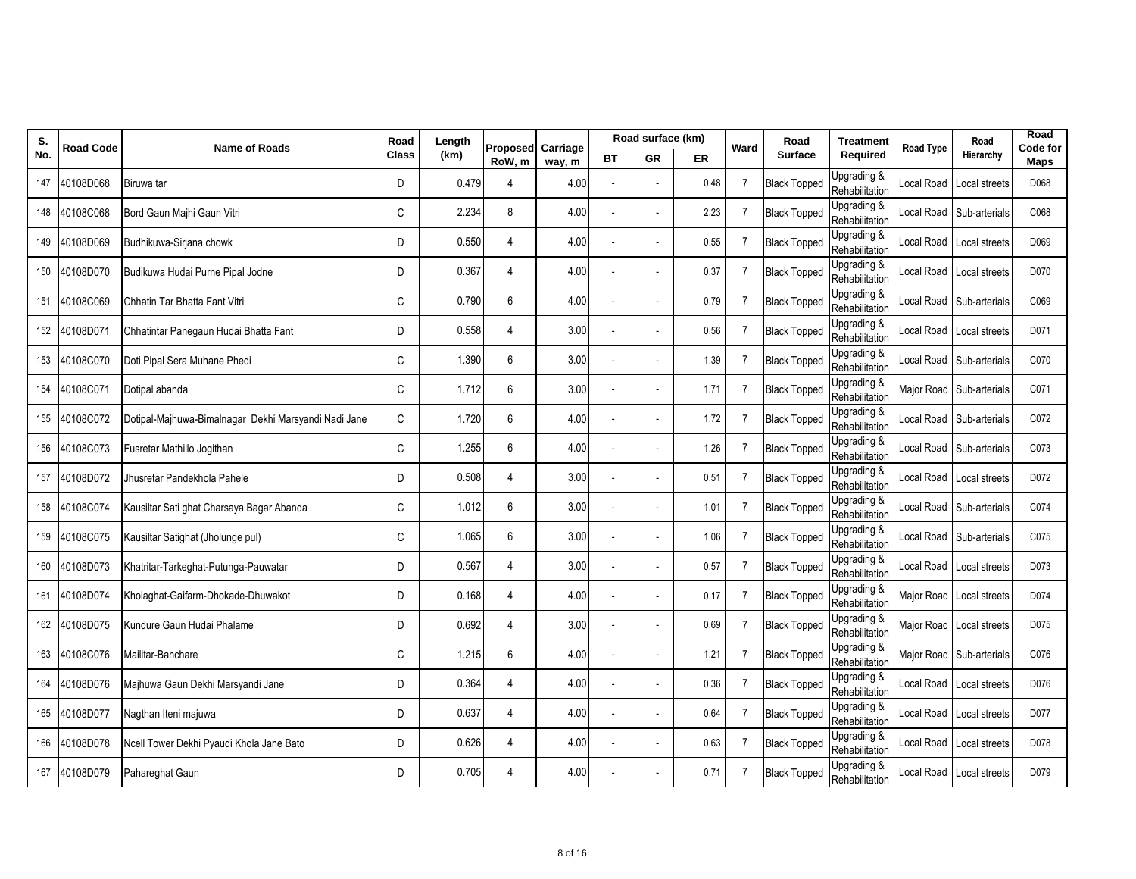| S.  | Road Code | <b>Name of Roads</b>                                 | Road         | Length | Proposed       | Carriage |    | Road surface (km) |      | Ward           | Road                | <b>Treatment</b>              | <b>Road Type</b> | Road                     | Road<br>Code for |
|-----|-----------|------------------------------------------------------|--------------|--------|----------------|----------|----|-------------------|------|----------------|---------------------|-------------------------------|------------------|--------------------------|------------------|
| No. |           |                                                      | <b>Class</b> | (km)   | RoW, m         | way, m   | ВT | <b>GR</b>         | ER   |                | <b>Surface</b>      | Required                      |                  | Hierarchy                | Maps             |
| 147 | 40108D068 | Biruwa tar                                           | D            | 0.479  | 4              | 4.00     |    |                   | 0.48 | 7              | <b>Black Topped</b> | Upgrading &<br>Rehabilitation | ocal Road.       | Local streets            | D068             |
| 148 | 40108C068 | Bord Gaun Majhi Gaun Vitri                           | C            | 2.234  | 8              | 4.00     |    |                   | 2.23 | $\overline{7}$ | <b>Black Topped</b> | Upgrading &<br>Rehabilitation |                  | Local Road Sub-arterials | C068             |
| 149 | 40108D069 | Budhikuwa-Sirjana chowk                              | D            | 0.550  | $\overline{4}$ | 4.00     |    |                   | 0.55 | $\overline{7}$ | <b>Black Topped</b> | Upgrading &<br>Rehabilitation |                  | Local Road Local streets | D069             |
| 150 | 40108D070 | Budikuwa Hudai Purne Pipal Jodne                     | D            | 0.367  | $\overline{4}$ | 4.00     |    |                   | 0.37 | $\overline{7}$ | <b>Black Topped</b> | Upgrading &<br>Rehabilitation |                  | Local Road Local streets | D070             |
| 151 | 40108C069 | Chhatin Tar Bhatta Fant Vitri                        | C            | 0.790  | 6              | 4.00     |    |                   | 0.79 | $\overline{7}$ | <b>Black Topped</b> | Upgrading &<br>Rehabilitation |                  | Local Road Sub-arterials | C069             |
| 152 | 40108D071 | Chhatintar Panegaun Hudai Bhatta Fant                | D            | 0.558  | $\overline{4}$ | 3.00     |    |                   | 0.56 | $\overline{7}$ | <b>Black Topped</b> | Upgrading &<br>Rehabilitation |                  | Local Road Local streets | D071             |
| 153 | 40108C070 | Doti Pipal Sera Muhane Phedi                         | C            | 1.390  | 6              | 3.00     |    |                   | 1.39 | 7              | <b>Black Topped</b> | Upgrading &<br>Rehabilitation |                  | _ocal Road Sub-arterials | C070             |
| 154 | 40108C071 | Dotipal abanda                                       | C            | 1.712  | 6              | 3.00     |    |                   | 1.71 | $\overline{7}$ | <b>Black Topped</b> | Upgrading &<br>Rehabilitation |                  | Major Road Sub-arterials | C071             |
| 155 | 40108C072 | Dotipal-Majhuwa-Bimalnagar Dekhi Marsyandi Nadi Jane | C            | 1.720  | 6              | 4.00     |    |                   | 1.72 | $\overline{7}$ | <b>Black Topped</b> | Upgrading &<br>Rehabilitation |                  | Local Road Sub-arterials | C072             |
| 156 | 40108C073 | Fusretar Mathillo Jogithan                           | C            | 1.255  | 6              | 4.00     |    |                   | 1.26 | $\overline{7}$ | <b>Black Topped</b> | Upgrading &<br>Rehabilitation |                  | Local Road Sub-arterials | C073             |
| 157 | 40108D072 | Jhusretar Pandekhola Pahele                          | D            | 0.508  | 4              | 3.00     |    |                   | 0.51 | 7              | <b>Black Topped</b> | Upgrading &<br>Rehabilitation |                  | Local Road Local streets | D072             |
| 158 | 40108C074 | Kausiltar Sati ghat Charsaya Bagar Abanda            | C            | 1.012  | 6              | 3.00     |    |                   | 1.01 | $\overline{7}$ | <b>Black Topped</b> | Upgrading &<br>Rehabilitation |                  | _ocal Road Sub-arterials | C074             |
| 159 | 40108C075 | Kausiltar Satighat (Jholunge pul)                    | C            | 1.065  | 6              | 3.00     |    |                   | 1.06 | 7              | <b>Black Topped</b> | Upgrading &<br>Rehabilitation | ocal Road.       | Sub-arterials            | C075             |
| 160 | 40108D073 | Khatritar-Tarkeghat-Putunga-Pauwatar                 | D            | 0.567  | 4              | 3.00     |    |                   | 0.57 | $\overline{7}$ | <b>Black Topped</b> | Upgrading &<br>Rehabilitation |                  | Local Road Local streets | D073             |
| 161 | 40108D074 | Kholaghat-Gaifarm-Dhokade-Dhuwakot                   | D            | 0.168  | $\overline{4}$ | 4.00     |    |                   | 0.17 | $\overline{7}$ | <b>Black Topped</b> | Upgrading &<br>Rehabilitation |                  | Major Road Local streets | D074             |
| 162 | 40108D075 | Kundure Gaun Hudai Phalame                           | D            | 0.692  | 4              | 3.00     |    |                   | 0.69 | 7              | <b>Black Topped</b> | Upgrading &<br>Rehabilitation |                  | Major Road Local streets | D075             |
| 163 | 40108C076 | Mailitar-Banchare                                    | C            | 1.215  | 6              | 4.00     |    |                   | 1.21 | 7              | <b>Black Topped</b> | Upgrading &<br>Rehabilitation |                  | Major Road Sub-arterials | C076             |
| 164 | 40108D076 | Maihuwa Gaun Dekhi Marsyandi Jane                    | D            | 0.364  | $\overline{4}$ | 4.00     |    |                   | 0.36 | $\overline{7}$ | <b>Black Topped</b> | Upgrading &<br>Rehabilitation |                  | Local Road Local streets | D076             |
| 165 | 40108D077 | Nagthan Iteni majuwa                                 | D            | 0.637  | 4              | 4.00     |    |                   | 0.64 | $\overline{7}$ | <b>Black Topped</b> | Upgrading &<br>Rehabilitation |                  | Local Road Local streets | D077             |
| 166 | 40108D078 | Ncell Tower Dekhi Pyaudi Khola Jane Bato             | D            | 0.626  | $\overline{4}$ | 4.00     |    |                   | 0.63 | $\overline{7}$ | <b>Black Topped</b> | Upgrading &<br>Rehabilitation | Local Road       | Local streets            | D078             |
| 167 | 40108D079 | Pahareghat Gaun                                      | D            | 0.705  | 4              | 4.00     |    |                   | 0.71 | 7              | <b>Black Topped</b> | Upgrading &<br>Rehabilitation |                  | Local Road Local streets | D079             |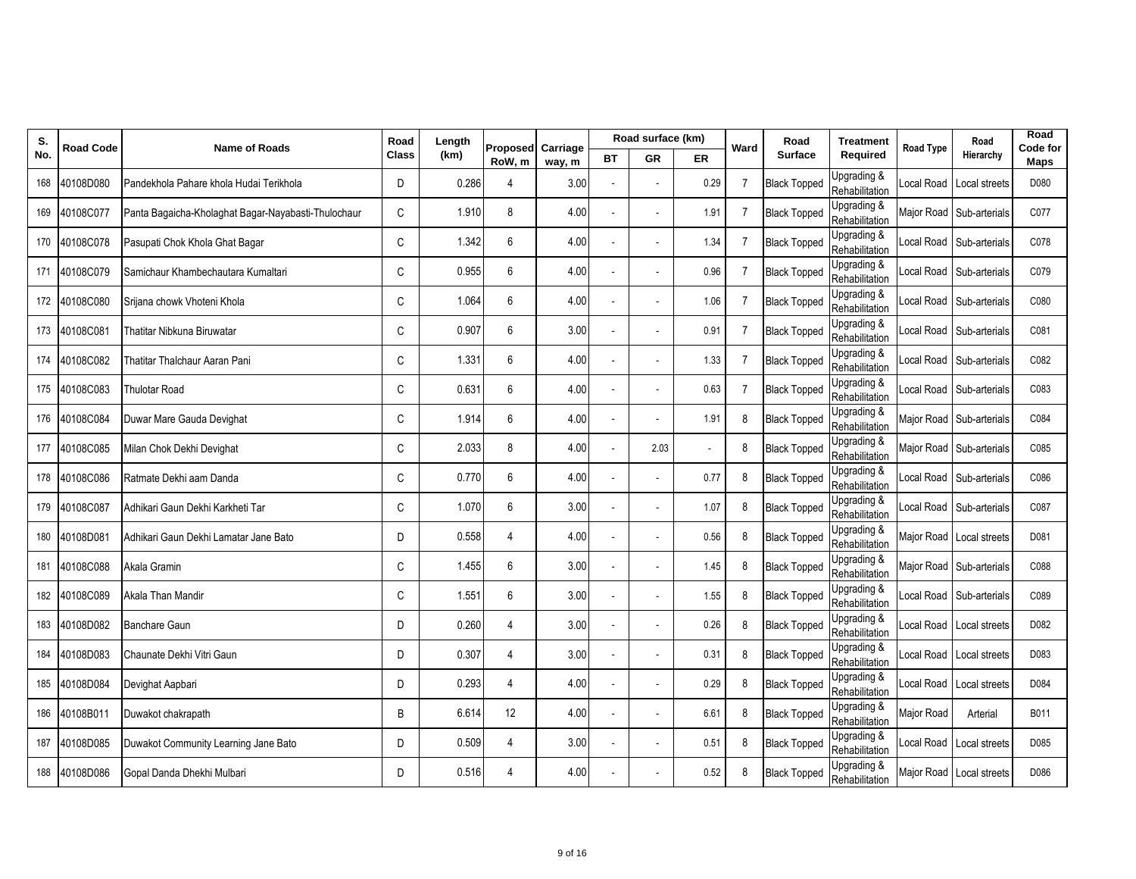| S.  | <b>Road Code</b> | <b>Name of Roads</b>                                | Road         | Length | Proposed         | Carriage |    | Road surface (km) |      | Ward           | Road                | <b>Treatment</b>              | Road Type  | Road                     | Road<br>Code for |
|-----|------------------|-----------------------------------------------------|--------------|--------|------------------|----------|----|-------------------|------|----------------|---------------------|-------------------------------|------------|--------------------------|------------------|
| No. |                  |                                                     | <b>Class</b> | (km)   | RoW, m           | way, m   | ВT | <b>GR</b>         | ER   |                | <b>Surface</b>      | Required                      |            | Hierarchy                | Maps             |
| 168 | 40108D080        | Pandekhola Pahare khola Hudai Terikhola             | D            | 0.286  | 4                | 3.00     |    |                   | 0.29 | 7              | <b>Black Topped</b> | Upgrading &<br>Rehabilitation | ocal Road  | Local streets            | D080             |
| 169 | 40108C077        | Panta Bagaicha-Kholaghat Bagar-Nayabasti-Thulochaur | C            | 1.910  | 8                | 4.00     |    |                   | 1.91 | $\overline{7}$ | <b>Black Topped</b> | Upgrading &<br>Rehabilitation |            | Major Road Sub-arterials | C077             |
| 170 | 40108C078        | Pasupati Chok Khola Ghat Bagar                      | C            | 1.342  | $\boldsymbol{6}$ | 4.00     |    |                   | 1.34 | $\overline{7}$ | <b>Black Topped</b> | Upgrading &<br>Rehabilitation | ocal Road  | Sub-arterials            | C078             |
| 171 | 40108C079        | Samichaur Khambechautara Kumaltari                  | C            | 0.955  | 6                | 4.00     |    |                   | 0.96 | $\overline{7}$ | <b>Black Topped</b> | Upgrading &<br>Rehabilitation | ocal Road  | Sub-arterials            | C079             |
|     | 172 40108C080    | Srijana chowk Vhoteni Khola                         | C            | 1.064  | 6                | 4.00     |    |                   | 1.06 | $\overline{7}$ | <b>Black Topped</b> | Upgrading &<br>Rehabilitation | ocal Road  | Sub-arterials            | C080             |
| 173 | 40108C081        | Thatitar Nibkuna Biruwatar                          | C            | 0.907  | 6                | 3.00     |    |                   | 0.91 | $\overline{7}$ | <b>Black Topped</b> | Upgrading &<br>Rehabilitation | ocal Road  | Sub-arterials            | C081             |
| 174 | 40108C082        | Thatitar Thalchaur Aaran Pani                       | C            | 1.331  | 6                | 4.00     |    |                   | 1.33 | $\overline{7}$ | <b>Black Topped</b> | Upgrading &<br>Rehabilitation | ocal Road  | Sub-arterials            | C082             |
| 175 | 40108C083        | <b>Thulotar Road</b>                                | C            | 0.631  | 6                | 4.00     |    |                   | 0.63 | 7              | <b>Black Topped</b> | Upgrading &<br>Rehabilitation | ocal Road  | Sub-arterials            | C083             |
| 176 | 40108C084        | Duwar Mare Gauda Devighat                           | C            | 1.914  | 6                | 4.00     |    |                   | 1.91 | 8              | <b>Black Topped</b> | Upgrading &<br>Rehabilitation | Major Road | Sub-arterials            | C084             |
| 177 | 40108C085        | Milan Chok Dekhi Devighat                           | C            | 2.033  | 8                | 4.00     |    | 2.03              |      | 8              | <b>Black Topped</b> | Upgrading &<br>Rehabilitation | Major Road | Sub-arterials            | C085             |
| 178 | 40108C086        | Ratmate Dekhi aam Danda                             | C            | 0.770  | 6                | 4.00     |    |                   | 0.77 | 8              | <b>Black Topped</b> | Upgrading &<br>Rehabilitation | ocal Road  | Sub-arterials            | C086             |
|     | 179 40108C087    | Adhikari Gaun Dekhi Karkheti Tar                    | C            | 1.070  | 6                | 3.00     |    |                   | 1.07 | 8              | <b>Black Topped</b> | Upgrading &<br>Rehabilitation |            | ccal Road Sub-arterials  | C087             |
| 180 | 40108D081        | Adhikari Gaun Dekhi Lamatar Jane Bato               | D            | 0.558  | $\overline{4}$   | 4.00     |    |                   | 0.56 | 8              | <b>Black Topped</b> | Upgrading &<br>Rehabilitation | Major Road | Local streets            | D081             |
| 181 | 40108C088        | Akala Gramin                                        | C            | 1.455  | 6                | 3.00     |    |                   | 1.45 | 8              | <b>Black Topped</b> | Upgrading &<br>Rehabilitation | Major Road | Sub-arterials            | C088             |
| 182 | 40108C089        | Akala Than Mandir                                   | C            | 1.551  | 6                | 3.00     |    |                   | 1.55 | 8              | <b>Black Topped</b> | Upgrading &<br>Rehabilitation | ocal Road  | Sub-arterials            | C089             |
| 183 | 40108D082        | Banchare Gaun                                       | D            | 0.260  | $\overline{4}$   | 3.00     |    |                   | 0.26 | 8              | <b>Black Topped</b> | Upgrading &<br>Rehabilitation | ocal Road  | Local streets            | D082             |
| 184 | 40108D083        | Chaunate Dekhi Vitri Gaun                           | D            | 0.307  | 4                | 3.00     |    |                   | 0.31 | 8              | <b>Black Topped</b> | Upgrading &<br>Rehabilitation | ocal Road  | Local streets            | D083             |
| 185 | 40108D084        | Devighat Aapbari                                    | D            | 0.293  | $\overline{4}$   | 4.00     |    |                   | 0.29 | 8              | <b>Black Topped</b> | Upgrading &<br>Rehabilitation |            | Local Road Local streets | D084             |
| 186 | 40108B011        | Duwakot chakrapath                                  | B            | 6.614  | 12               | 4.00     |    |                   | 6.61 | 8              | <b>Black Topped</b> | Upgrading &<br>Rehabilitation | Major Road | Arterial                 | B011             |
| 187 | 40108D085        | Duwakot Community Learning Jane Bato                | D            | 0.509  | $\overline{4}$   | 3.00     |    |                   | 0.51 | 8              | <b>Black Topped</b> | Upgrading &<br>Rehabilitation | ocal Road  | Local streets            | D085             |
|     | 188 40108D086    | Gopal Danda Dhekhi Mulbari                          | D            | 0.516  | 4                | 4.00     |    |                   | 0.52 | 8              | <b>Black Topped</b> | Upgrading &<br>Rehabilitation |            | Major Road Local streets | D086             |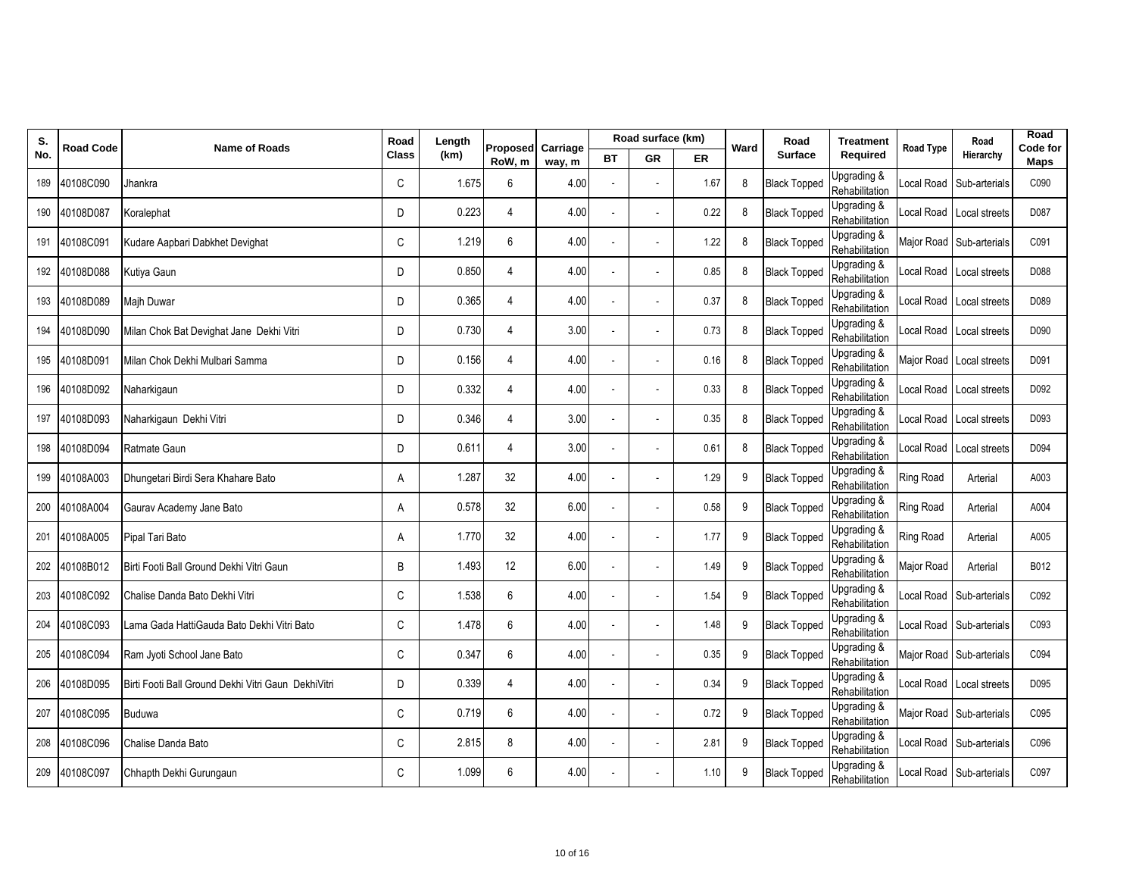| S.  | <b>Road Code</b> | <b>Name of Roads</b>                                | Road         | Length | Proposed       | Carriage |    | Road surface (km) |      | Ward | Road                | <b>Treatment</b>              | <b>Road Type</b> | Road                     | Road<br>Code for |
|-----|------------------|-----------------------------------------------------|--------------|--------|----------------|----------|----|-------------------|------|------|---------------------|-------------------------------|------------------|--------------------------|------------------|
| No. |                  |                                                     | <b>Class</b> | (km)   | RoW, m         | way, m   | ВT | <b>GR</b>         | ER   |      | <b>Surface</b>      | Required                      |                  | Hierarchy                | Maps             |
| 189 | 40108C090        | Jhankra                                             | C            | 1.675  | 6              | 4.00     |    |                   | 1.67 | 8    | <b>Black Topped</b> | Upgrading &<br>Rehabilitation | ocal Road        | Sub-arterials            | C090             |
| 190 | 40108D087        | Koralephat                                          | D            | 0.223  | $\overline{4}$ | 4.00     |    |                   | 0.22 | 8    | <b>Black Topped</b> | Upgrading &<br>Rehabilitation | ocal Road        | Local streets            | D087             |
| 191 | 40108C091        | Kudare Aapbari Dabkhet Devighat                     | C            | 1.219  | 6              | 4.00     |    |                   | 1.22 | 8    | <b>Black Topped</b> | Upgrading &<br>Rehabilitation | Major Road       | Sub-arterials            | C091             |
| 192 | 40108D088        | Kutiya Gaun                                         | D            | 0.850  | $\overline{4}$ | 4.00     |    |                   | 0.85 | 8    | <b>Black Topped</b> | Upgrading &<br>Rehabilitation | ocal Road        | Local streets            | D088             |
| 193 | 40108D089        | <b>Majh Duwar</b>                                   | D            | 0.365  | $\overline{4}$ | 4.00     |    |                   | 0.37 | 8    | <b>Black Topped</b> | Upgrading &<br>Rehabilitation | ocal Road        | Local streets            | D089             |
| 194 | 40108D090        | Milan Chok Bat Devighat Jane Dekhi Vitri            | D            | 0.730  | $\overline{4}$ | 3.00     |    |                   | 0.73 | 8    | <b>Black Topped</b> | Upgrading &<br>Rehabilitation |                  | Local Road Local streets | D090             |
| 195 | 40108D091        | Milan Chok Dekhi Mulbari Samma                      | D            | 0.156  | $\overline{4}$ | 4.00     |    |                   | 0.16 | 8    | <b>Black Topped</b> | Upgrading &<br>Rehabilitation | Major Road       | Local streets            | D091             |
| 196 | 40108D092        | Naharkigaun                                         | D            | 0.332  | $\overline{4}$ | 4.00     |    |                   | 0.33 | 8    | <b>Black Topped</b> | Upgrading &<br>Rehabilitation | ocal Road        | Local streets            | D092             |
| 197 | 40108D093        | Naharkigaun Dekhi Vitri                             | D            | 0.346  | $\overline{4}$ | 3.00     |    |                   | 0.35 | 8    | <b>Black Topped</b> | Upgrading &<br>Rehabilitation |                  | Local Road Local streets | D093             |
| 198 | 40108D094        | Ratmate Gaun                                        | D            | 0.611  | $\overline{4}$ | 3.00     |    |                   | 0.61 | 8    | <b>Black Topped</b> | Upgrading &<br>Rehabilitation | ocal Road        | Local streets            | D094             |
| 199 | 40108A003        | Dhungetari Birdi Sera Khahare Bato                  | Α            | 1.287  | 32             | 4.00     |    |                   | 1.29 | 9    | <b>Black Topped</b> | Upgrading &<br>Rehabilitation | <b>Ring Road</b> | Arterial                 | A003             |
| 200 | 40108A004        | Gaurav Academy Jane Bato                            | A            | 0.578  | 32             | 6.00     |    |                   | 0.58 | 9    | <b>Black Topped</b> | Upgrading &<br>Rehabilitation | Ring Road        | Arterial                 | A004             |
| 201 | 40108A005        | Pipal Tari Bato                                     | A            | 1.770  | 32             | 4.00     |    |                   | 1.77 | 9    | <b>Black Topped</b> | Upgrading &<br>Rehabilitation | <b>Ring Road</b> | Arterial                 | A005             |
| 202 | 40108B012        | Birti Footi Ball Ground Dekhi Vitri Gaun            | B            | 1.493  | 12             | 6.00     |    |                   | 1.49 | 9    | <b>Black Topped</b> | Upgrading &<br>Rehabilitation | Major Road       | Arterial                 | B012             |
| 203 | 40108C092        | Chalise Danda Bato Dekhi Vitri                      | C            | 1.538  | 6              | 4.00     |    |                   | 1.54 | 9    | <b>Black Topped</b> | Upgrading &<br>Rehabilitation | ocal Road        | Sub-arterials            | C092             |
| 204 | 40108C093        | Lama Gada HattiGauda Bato Dekhi Vitri Bato          | C            | 1.478  | 6              | 4.00     |    |                   | 1.48 | 9    | <b>Black Topped</b> | Upgrading &<br>Rehabilitation | ocal Road        | Sub-arterials            | C093             |
| 205 | 40108C094        | Ram Jyoti School Jane Bato                          | C            | 0.347  | 6              | 4.00     |    |                   | 0.35 | 9    | <b>Black Topped</b> | Upgrading &<br>Rehabilitation | Major Road       | Sub-arterials            | C094             |
| 206 | 40108D095        | Birti Footi Ball Ground Dekhi Vitri Gaun DekhiVitri | D            | 0.339  | $\overline{4}$ | 4.00     |    |                   | 0.34 | 9    | <b>Black Topped</b> | Upgrading &<br>Rehabilitation | ocal Road        | Local streets            | D095             |
| 207 | 40108C095        | <b>Buduwa</b>                                       | C            | 0.719  | 6              | 4.00     |    |                   | 0.72 | 9    | <b>Black Topped</b> | Upgrading &<br>Rehabilitation | Major Road       | Sub-arterials            | C095             |
| 208 | 40108C096        | Chalise Danda Bato                                  | C            | 2.815  | 8              | 4.00     |    |                   | 2.81 | 9    | <b>Black Topped</b> | Upgrading &<br>Rehabilitation | ccal Road        | Sub-arterials            | C096             |
|     | 209 40108C097    | Chhapth Dekhi Gurungaun                             | C            | 1.099  | 6              | 4.00     |    |                   | 1.10 | 9    | <b>Black Topped</b> | Upgrading &<br>Rehabilitation |                  | _ocal Road Sub-arterials | C097             |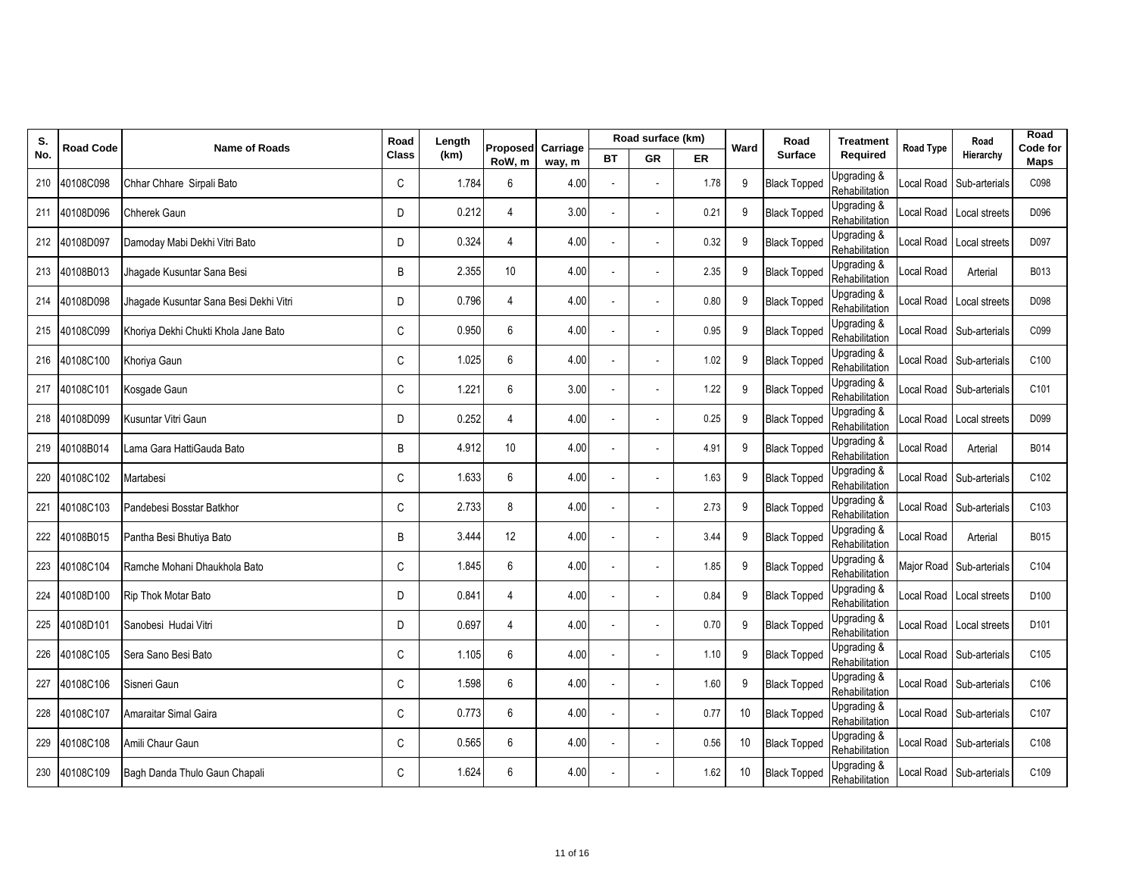| S.  | <b>Road Code</b> | <b>Name of Roads</b>                   | Road         | Length | Proposed       | Carriage |    | Road surface (km) |      | Ward | Road                | <b>Treatment</b>              | <b>Road Type</b> | Road                     | Road<br>Code for |
|-----|------------------|----------------------------------------|--------------|--------|----------------|----------|----|-------------------|------|------|---------------------|-------------------------------|------------------|--------------------------|------------------|
| No. |                  |                                        | <b>Class</b> | (km)   | RoW, m         | way, m   | ВT | <b>GR</b>         | ER   |      | <b>Surface</b>      | Required                      |                  | Hierarchy                | Maps             |
| 210 | 40108C098        | Chhar Chhare Sirpali Bato              | C            | 1.784  | 6              | 4.00     |    |                   | 1.78 | 9    | <b>Black Topped</b> | Upgrading &<br>Rehabilitation | ocal Road        | Sub-arterials            | C098             |
| 211 | 40108D096        | <b>Chherek Gaun</b>                    | D            | 0.212  | 4              | 3.00     |    |                   | 0.21 | 9    | <b>Black Topped</b> | Upgrading &<br>Rehabilitation | ocal Road        | Local streets            | D096             |
| 212 | 40108D097        | Damoday Mabi Dekhi Vitri Bato          | D            | 0.324  | $\overline{4}$ | 4.00     |    |                   | 0.32 | 9    | <b>Black Topped</b> | Upgrading &<br>Rehabilitation | ocal Road        | Local streets            | D097             |
|     | 213 40108B013    | Jhagade Kusuntar Sana Besi             | B            | 2.355  | 10             | 4.00     |    |                   | 2.35 | 9    | <b>Black Topped</b> | Upgrading &<br>Rehabilitation | ocal Road        | Arterial                 | B013             |
| 214 | 40108D098        | Jhagade Kusuntar Sana Besi Dekhi Vitri | D            | 0.796  | $\overline{4}$ | 4.00     |    |                   | 0.80 | 9    | <b>Black Topped</b> | Upgrading &<br>Rehabilitation | ocal Road        | Local streets            | D098             |
| 215 | 40108C099        | Khoriya Dekhi Chukti Khola Jane Bato   | C            | 0.950  | 6              | 4.00     |    |                   | 0.95 | 9    | <b>Black Topped</b> | Upgrading &<br>Rehabilitation |                  | Local Road Sub-arterials | C099             |
|     | 216 40108C100    | Khoriya Gaun                           | C            | 1.025  | 6              | 4.00     |    |                   | 1.02 | 9    | <b>Black Topped</b> | Upgrading &<br>Rehabilitation | ocal Road        | Sub-arterials            | C100             |
| 217 | 40108C101        | Kosgade Gaun                           | $\mathsf{C}$ | 1.221  | 6              | 3.00     |    |                   | 1.22 | 9    | <b>Black Topped</b> | Upgrading &<br>Rehabilitation | ocal Road        | Sub-arterials            | C101             |
| 218 | 40108D099        | Kusuntar Vitri Gaun                    | D            | 0.252  | $\overline{4}$ | 4.00     |    |                   | 0.25 | 9    | <b>Black Topped</b> | Upgrading &<br>Rehabilitation |                  | Local Road Local streets | D099             |
| 219 | 40108B014        | Lama Gara HattiGauda Bato              | B            | 4.912  | 10             | 4.00     |    |                   | 4.91 | 9    | <b>Black Topped</b> | Upgrading &<br>Rehabilitation | ocal Road        | Arterial                 | B014             |
| 220 | 40108C102        | Martabesi                              | C            | 1.633  | 6              | 4.00     |    |                   | 1.63 | 9    | <b>Black Topped</b> | Upgrading &<br>Rehabilitation | ocal Road        | Sub-arterials            | C102             |
| 221 | 40108C103        | Pandebesi Bosstar Batkhor              | C            | 2.733  | 8              | 4.00     |    |                   | 2.73 | 9    | <b>Black Topped</b> | Upgrading &<br>Rehabilitation | ocal Road        | Sub-arterials            | C103             |
| 222 | 40108B015        | Pantha Besi Bhutiya Bato               | B            | 3.444  | 12             | 4.00     |    |                   | 3.44 | 9    | <b>Black Topped</b> | Upgrading &<br>Rehabilitation | ocal Road        | Arterial                 | B015             |
| 223 | 40108C104        | Ramche Mohani Dhaukhola Bato           | C            | 1.845  | 6              | 4.00     |    |                   | 1.85 | 9    | <b>Black Topped</b> | Upgrading &<br>Rehabilitation | Major Road       | Sub-arterials            | C104             |
| 224 | 40108D100        | <b>Rip Thok Motar Bato</b>             | D            | 0.841  | $\overline{4}$ | 4.00     |    |                   | 0.84 | 9    | <b>Black Topped</b> | Upgrading &<br>Rehabilitation |                  | ocal Road Local streets  | D100             |
| 225 | 40108D101        | Sanobesi Hudai Vitri                   | D            | 0.697  | 4              | 4.00     |    |                   | 0.70 | 9    | <b>Black Topped</b> | Upgrading &<br>Rehabilitation | ocal Road        | Local streets            | D101             |
| 226 | 40108C105        | Sera Sano Besi Bato                    | C            | 1.105  | 6              | 4.00     |    |                   | 1.10 | 9    | <b>Black Topped</b> | Upgrading &<br>Rehabilitation | ccal Road        | Sub-arterials            | C105             |
| 227 | 40108C106        | Sisneri Gaun                           | C            | 1.598  | 6              | 4.00     |    |                   | 1.60 | 9    | <b>Black Topped</b> | Upgrading &<br>Rehabilitation |                  | ccal Road Sub-arterials  | C106             |
| 228 | 40108C107        | Amaraitar Simal Gaira                  | C            | 0.773  | 6              | 4.00     |    |                   | 0.77 | 10   | <b>Black Topped</b> | Upgrading &<br>Rehabilitation | ocal Road        | Sub-arterials            | C107             |
| 229 | 40108C108        | Amili Chaur Gaun                       | C            | 0.565  | 6              | 4.00     |    |                   | 0.56 | 10   | <b>Black Topped</b> | Upgrading &<br>Rehabilitation | Local Road       | Sub-arterials            | C108             |
|     | 230 40108C109    | Bagh Danda Thulo Gaun Chapali          | C            | 1.624  | 6              | 4.00     |    |                   | 1.62 | 10   | <b>Black Topped</b> | Upgrading &<br>Rehabilitation |                  | ocal Road Sub-arterials  | C109             |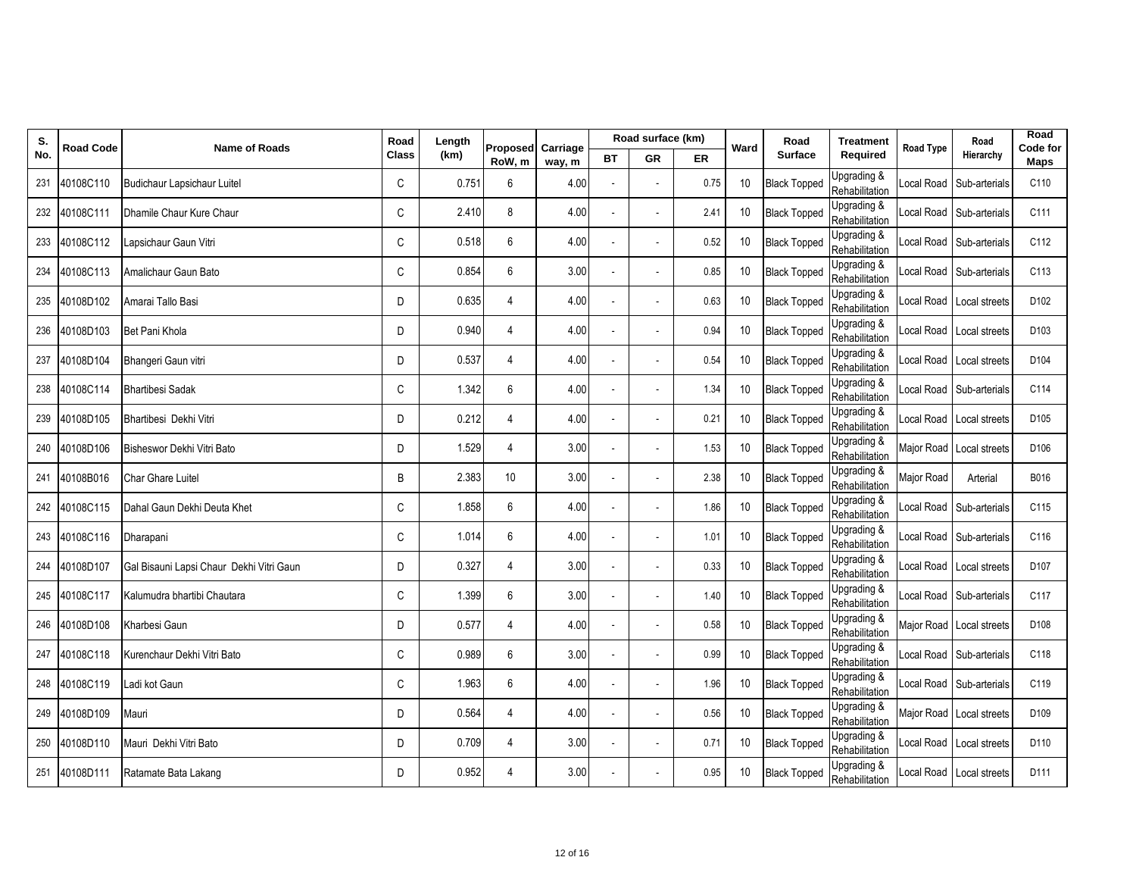| S.  | <b>Road Code</b> | <b>Name of Roads</b>                     | Road         | Length | Proposed       | Carriage |    | Road surface (km) |      | Ward            | Road                | <b>Treatment</b>              | <b>Road Type</b>  | Road                       | Road<br>Code for |
|-----|------------------|------------------------------------------|--------------|--------|----------------|----------|----|-------------------|------|-----------------|---------------------|-------------------------------|-------------------|----------------------------|------------------|
| No. |                  |                                          | <b>Class</b> | (km)   | RoW, m         | way, m   | ВT | <b>GR</b>         | ER   |                 | <b>Surface</b>      | Required                      |                   | Hierarchy                  | Maps             |
| 231 | 40108C110        | Budichaur Lapsichaur Luitel              | C            | 0.751  | 6              | 4.00     |    |                   | 0.75 | 10              | <b>Black Topped</b> | Upgrading &<br>Rehabilitation | ocal Road.        | Sub-arterials              | C110             |
| 232 | 40108C111        | Dhamile Chaur Kure Chaur                 | C            | 2.410  | 8              | 4.00     |    |                   | 2.41 | 10              | <b>Black Topped</b> | Upgrading &<br>Rehabilitation |                   | Local Road Sub-arterials   | C111             |
| 233 | 40108C112        | Lapsichaur Gaun Vitri                    | C            | 0.518  | 6              | 4.00     |    |                   | 0.52 | 10              | <b>Black Topped</b> | Upgrading &<br>Rehabilitation |                   | Local Road Sub-arterials   | C112             |
| 234 | 40108C113        | Amalichaur Gaun Bato                     | C            | 0.854  | 6              | 3.00     |    |                   | 0.85 | 10              | <b>Black Topped</b> | Upgrading &<br>Rehabilitation |                   | Local Road Sub-arterials   | C113             |
| 235 | 40108D102        | Amarai Tallo Basi                        | D            | 0.635  | $\overline{4}$ | 4.00     |    |                   | 0.63 | 10              | <b>Black Topped</b> | Upgrading &<br>Rehabilitation |                   | Local Road Local streets   | D <sub>102</sub> |
| 236 | 40108D103        | Bet Pani Khola                           | D            | 0.940  | $\overline{4}$ | 4.00     |    |                   | 0.94 | 10              | <b>Black Topped</b> | Upgrading &<br>Rehabilitation |                   | Local Road Local streets   | D <sub>103</sub> |
| 237 | 40108D104        | Bhangeri Gaun vitri                      | D            | 0.537  | $\overline{4}$ | 4.00     |    |                   | 0.54 | 10              | <b>Black Topped</b> | Upgrading &<br>Rehabilitation |                   | Local Road Local streets   | D <sub>104</sub> |
| 238 | 40108C114        | <b>Bhartibesi Sadak</b>                  | C            | 1.342  | 6              | 4.00     |    |                   | 1.34 | 10              | <b>Black Topped</b> | Upgrading &<br>Rehabilitation |                   | ocal Road Sub-arterials    | C114             |
| 239 | 40108D105        | Bhartibesi Dekhi Vitri                   | D            | 0.212  | 4              | 4.00     |    |                   | 0.21 | 10              | <b>Black Topped</b> | Upgrading &<br>Rehabilitation |                   | Local Road Local streets   | D <sub>105</sub> |
| 240 | 40108D106        | Bisheswor Dekhi Vitri Bato               | D            | 1.529  | $\overline{4}$ | 3.00     |    |                   | 1.53 | 10              | <b>Black Topped</b> | Upgrading &<br>Rehabilitation | Major Road        | Local streets              | D106             |
| 241 | 40108B016        | Char Ghare Luitel                        | B            | 2.383  | 10             | 3.00     |    |                   | 2.38 | 10              | <b>Black Topped</b> | Upgrading &<br>Rehabilitation | <b>Major Road</b> | Arterial                   | B016             |
|     | 242 40108C115    | Dahal Gaun Dekhi Deuta Khet              | C            | 1.858  | 6              | 4.00     |    |                   | 1.86 | 10              | <b>Black Topped</b> | Upgrading &<br>Rehabilitation |                   | Local Road Sub-arterials   | C115             |
| 243 | 40108C116        | Dharapani                                | C            | 1.014  | 6              | 4.00     |    |                   | 1.01 | 10              | <b>Black Topped</b> | Upgrading &<br>Rehabilitation |                   | Local Road Sub-arterials   | C116             |
| 244 | 40108D107        | Gal Bisauni Lapsi Chaur Dekhi Vitri Gaun | D            | 0.327  | $\overline{4}$ | 3.00     |    |                   | 0.33 | 10              | <b>Black Topped</b> | Upgrading &<br>Rehabilitation |                   | Local Road   Local streets | D107             |
|     | 245 40108C117    | Kalumudra bhartibi Chautara              | C            | 1.399  | 6              | 3.00     |    |                   | 1.40 | 10 <sup>°</sup> | <b>Black Topped</b> | Upgrading &<br>Rehabilitation |                   | Local Road Sub-arterials   | C117             |
| 246 | 40108D108        | Kharbesi Gaun                            | D            | 0.577  | 4              | 4.00     |    |                   | 0.58 | 10              | <b>Black Topped</b> | Upgrading &<br>Rehabilitation |                   | Major Road Local streets   | D <sub>108</sub> |
| 247 | 40108C118        | Kurenchaur Dekhi Vitri Bato              | C            | 0.989  | 6              | 3.00     |    |                   | 0.99 | 10              | <b>Black Topped</b> | Upgrading &<br>Rehabilitation |                   | Local Road Sub-arterials   | C118             |
|     | 248 40108C119    | Ladi kot Gaun                            | C            | 1.963  | 6              | 4.00     |    |                   | 1.96 | 10 <sup>°</sup> | <b>Black Topped</b> | Upgrading &<br>Rehabilitation |                   | Local Road Sub-arterials   | C119             |
| 249 | 40108D109        | Mauri                                    | D            | 0.564  | $\overline{4}$ | 4.00     |    |                   | 0.56 | 10              | <b>Black Topped</b> | Upgrading &<br>Rehabilitation |                   | Major Road Local streets   | D109             |
| 250 | 40108D110        | Mauri Dekhi Vitri Bato                   | D            | 0.709  | $\overline{4}$ | 3.00     |    |                   | 0.71 | 10              | <b>Black Topped</b> | Upgrading &<br>Rehabilitation |                   | Local Road Local streets   | D110             |
| 251 | 40108D111        | Ratamate Bata Lakang                     | D            | 0.952  | 4              | 3.00     |    |                   | 0.95 | 10              | <b>Black Topped</b> | Upgrading &<br>Rehabilitation |                   | Local Road Local streets   | D111             |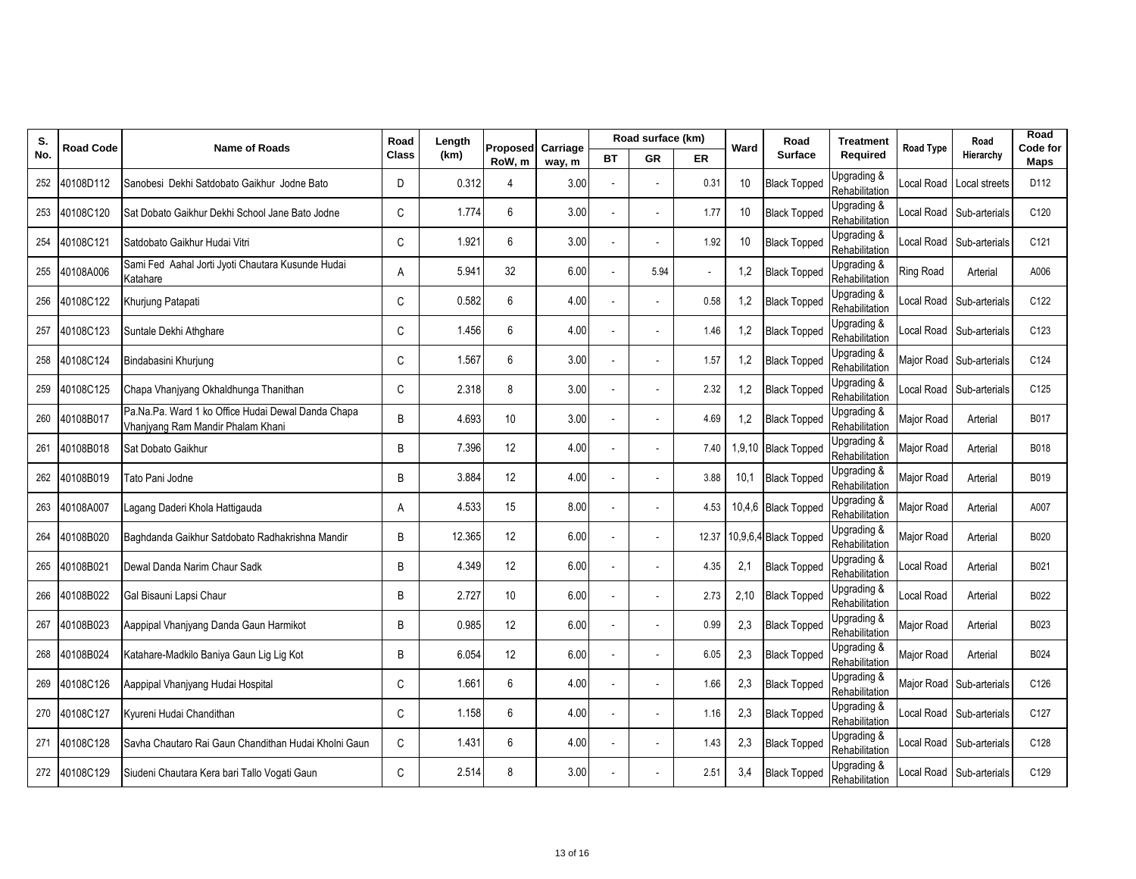| S.  | <b>Road Code</b> | <b>Name of Roads</b>                                                                    | Road         | Length | Proposed         | Carriage |    | Road surface (km) |       | Ward   | Road                  | <b>Treatment</b>              | <b>Road Type</b> | Road                    | Road<br>Code for |
|-----|------------------|-----------------------------------------------------------------------------------------|--------------|--------|------------------|----------|----|-------------------|-------|--------|-----------------------|-------------------------------|------------------|-------------------------|------------------|
| No. |                  |                                                                                         | <b>Class</b> | (km)   | RoW, m           | way, m   | ВT | GR                | ER    |        | <b>Surface</b>        | Required                      |                  | Hierarchy               | Maps             |
| 252 | 40108D112        | Sanobesi Dekhi Satdobato Gaikhur Jodne Bato                                             | D            | 0.312  | 4                | 3.00     |    |                   | 0.31  | 10     | <b>Black Topped</b>   | Upgrading &<br>Rehabilitation | ocal Road.       | Local streets           | D112             |
| 253 | 40108C120        | Sat Dobato Gaikhur Dekhi School Jane Bato Jodne                                         | $\mathsf{C}$ | 1.774  | 6                | 3.00     |    |                   | 1.77  | 10     | <b>Black Topped</b>   | Upgrading &<br>Rehabilitation | ocal Road        | Sub-arterials           | C120             |
| 254 | 40108C121        | Satdobato Gaikhur Hudai Vitri                                                           | $\mathsf{C}$ | 1.921  | 6                | 3.00     |    |                   | 1.92  | 10     | <b>Black Topped</b>   | Upgrading &<br>Rehabilitation | ocal Road        | Sub-arterials           | C <sub>121</sub> |
| 255 | 40108A006        | Sami Fed Aahal Jorti Jyoti Chautara Kusunde Hudai<br>Katahare                           | Α            | 5.941  | 32               | 6.00     |    | 5.94              |       | 1,2    | <b>Black Topped</b>   | Upgrading &<br>Rehabilitation | Ring Road        | Arterial                | A006             |
| 256 | 40108C122        | Khurjung Patapati                                                                       | C            | 0.582  | $\boldsymbol{6}$ | 4.00     |    |                   | 0.58  | 1,2    | <b>Black Topped</b>   | Upgrading &<br>Rehabilitation | ocal Road        | Sub-arterials           | C122             |
| 257 | 40108C123        | Suntale Dekhi Athghare                                                                  | C            | 1.456  | 6                | 4.00     |    |                   | 1.46  | 1,2    | <b>Black Topped</b>   | Upgrading &<br>Rehabilitation | ocal Road        | Sub-arterials           | C123             |
| 258 | 40108C124        | Bindabasini Khurjung                                                                    | C            | 1.567  | 6                | 3.00     |    |                   | 1.57  | 1,2    | <b>Black Topped</b>   | Upgrading &<br>Rehabilitation | Major Road       | Sub-arterials           | C124             |
| 259 | 40108C125        | Chapa Vhanjyang Okhaldhunga Thanithan                                                   | C            | 2.318  | 8                | 3.00     |    |                   | 2.32  | 1,2    | <b>Black Topped</b>   | Upgrading &<br>Rehabilitation | ocal Road        | Sub-arterials           | C125             |
| 260 | 40108B017        | Pa.Na.Pa. Ward 1 ko Office Hudai Dewal Danda Chapa<br>Vhanjyang Ram Mandir Phalam Khani | B            | 4.693  | 10               | 3.00     |    |                   | 4.69  | 1,2    | <b>Black Topped</b>   | Upgrading &<br>Rehabilitation | Major Road       | Arterial                | B017             |
| 261 | 40108B018        | Sat Dobato Gaikhur                                                                      | B            | 7.396  | 12               | 4.00     |    |                   | 7.40  | 1,9,10 | <b>Black Topped</b>   | Upgrading &<br>Rehabilitation | Major Road       | Arterial                | B018             |
| 262 | 40108B019        | Tato Pani Jodne                                                                         | B            | 3.884  | 12               | 4.00     |    |                   | 3.88  | 10,1   | <b>Black Topped</b>   | Upgrading &<br>Rehabilitation | Major Road       | Arterial                | B019             |
| 263 | 40108A007        | Lagang Daderi Khola Hattigauda                                                          | A            | 4.533  | 15               | 8.00     |    |                   | 4.53  |        | 10,4,6 Black Topped   | Upgrading &<br>Rehabilitation | Major Road       | Arterial                | A007             |
| 264 | 40108B020        | Baghdanda Gaikhur Satdobato Radhakrishna Mandir                                         | B            | 12.365 | 12               | 6.00     |    |                   | 12.37 |        | 10,9,6,4 Black Topped | Jpgrading &<br>Rehabilitation | Major Road       | Arterial                | B020             |
| 265 | 40108B021        | Dewal Danda Narim Chaur Sadk                                                            | B            | 4.349  | 12               | 6.00     |    |                   | 4.35  | 2,1    | <b>Black Topped</b>   | Upgrading &<br>Rehabilitation | ocal Road        | Arterial                | B021             |
| 266 | 40108B022        | Gal Bisauni Lapsi Chaur                                                                 | B            | 2.727  | 10               | 6.00     |    |                   | 2.73  | 2,10   | <b>Black Topped</b>   | Upgrading &<br>Rehabilitation | ocal Road        | Arterial                | B022             |
| 267 | 40108B023        | Aappipal Vhanjyang Danda Gaun Harmikot                                                  | B            | 0.985  | 12               | 6.00     |    |                   | 0.99  | 2,3    | <b>Black Topped</b>   | Upgrading &<br>Rehabilitation | Major Road       | Arterial                | B023             |
| 268 | 40108B024        | Katahare-Madkilo Baniya Gaun Lig Lig Kot                                                | B            | 6.054  | 12               | 6.00     |    |                   | 6.05  | 2,3    | <b>Black Topped</b>   | Upgrading &<br>Rehabilitation | Major Road       | Arterial                | B024             |
| 269 | 40108C126        | Aappipal Vhanjyang Hudai Hospital                                                       | $\mathsf{C}$ | 1.661  | 6                | 4.00     |    |                   | 1.66  | 2,3    | <b>Black Topped</b>   | Upgrading &<br>Rehabilitation | Major Road       | Sub-arterials           | C126             |
| 270 | 40108C127        | Kyureni Hudai Chandithan                                                                | C            | 1.158  | 6                | 4.00     |    |                   | 1.16  | 2,3    | <b>Black Topped</b>   | Upgrading &<br>Rehabilitation | ocal Road        | Sub-arterials           | C127             |
| 271 | 40108C128        | Savha Chautaro Rai Gaun Chandithan Hudai Kholni Gaun                                    | C            | 1.431  | 6                | 4.00     |    |                   | 1.43  | 2,3    | <b>Black Topped</b>   | Upgrading &<br>Rehabilitation | ccal Road        | Sub-arterials           | C128             |
|     | 272 40108C129    | Siudeni Chautara Kera bari Tallo Voqati Gaun                                            | C            | 2.514  | 8                | 3.00     |    |                   | 2.51  | 3,4    | <b>Black Topped</b>   | Upgrading &<br>Rehabilitation |                  | ocal Road Sub-arterials | C129             |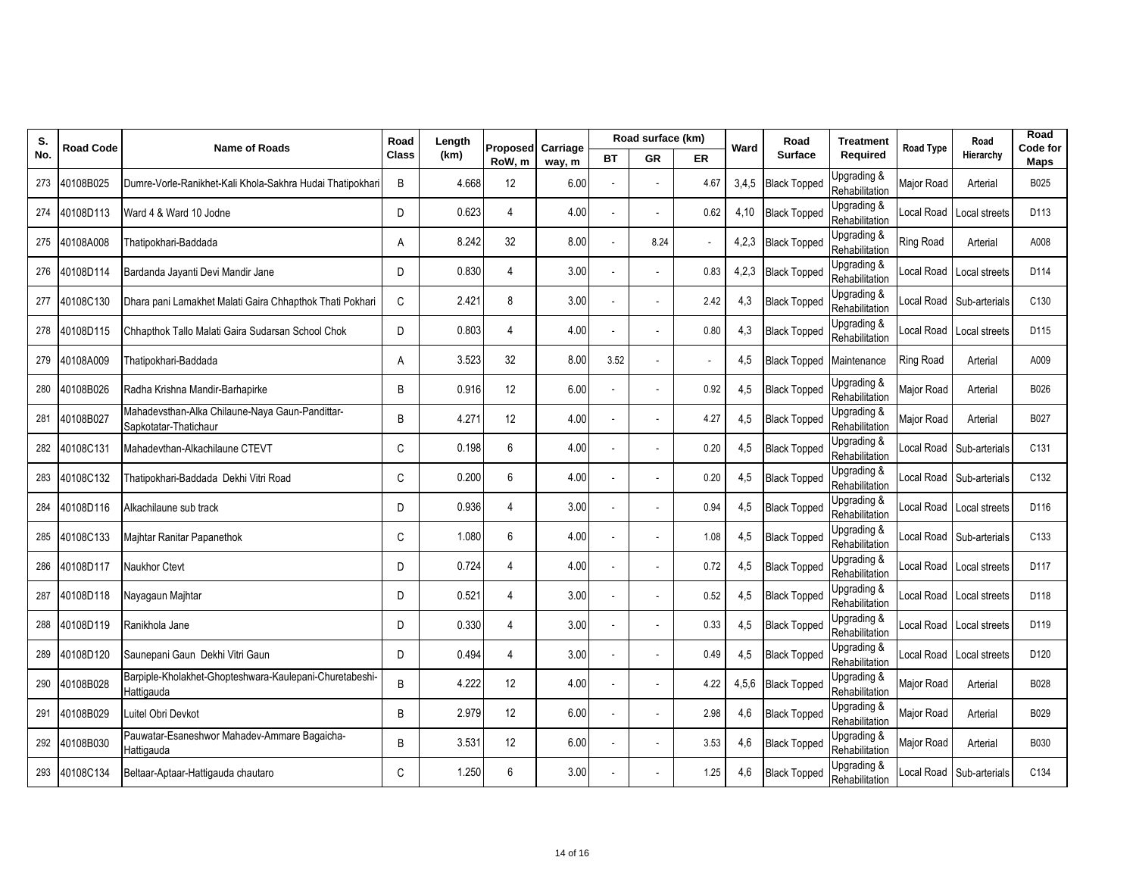| S.  | <b>Road Code</b> | <b>Name of Roads</b>                                                     | Road         | Length | <b>Proposed</b> | Carriage |      | Road surface (km) |      | Ward  | Road                       | <b>Treatment</b>              | <b>Road Type</b>  | Road                       | Road<br>Code for |
|-----|------------------|--------------------------------------------------------------------------|--------------|--------|-----------------|----------|------|-------------------|------|-------|----------------------------|-------------------------------|-------------------|----------------------------|------------------|
| No. |                  |                                                                          | <b>Class</b> | (km)   | RoW, m          | way, m   | ВT   | <b>GR</b>         | ER   |       | <b>Surface</b>             | Required                      |                   | Hierarchy                  | Maps             |
| 273 | 40108B025        | Dumre-Vorle-Ranikhet-Kali Khola-Sakhra Hudai Thatipokhar                 | B            | 4.668  | 12              | 6.00     |      |                   | 4.67 | 3,4,5 | <b>Black Topped</b>        | Upgrading &<br>Rehabilitation | Major Road        | Arterial                   | B025             |
| 274 | 40108D113        | Ward 4 & Ward 10 Jodne                                                   | D            | 0.623  | $\overline{4}$  | 4.00     |      |                   | 0.62 | 4,10  | <b>Black Topped</b>        | Upgrading &<br>Rehabilitation | Local Road        | Local streets              | D113             |
| 275 | 40108A008        | Thatipokhari-Baddada                                                     | A            | 8.242  | 32              | 8.00     |      | 8.24              |      | 4,2,3 | <b>Black Topped</b>        | Upgrading &<br>Rehabilitation | <b>Ring Road</b>  | Arterial                   | A008             |
|     | 276 40108D114    | Bardanda Jayanti Devi Mandir Jane                                        | D            | 0.830  | $\overline{4}$  | 3.00     |      |                   | 0.83 | 4,2,3 | <b>Black Topped</b>        | Upgrading &<br>Rehabilitation |                   | Local Road Local streets   | D114             |
| 277 | 40108C130        | Dhara pani Lamakhet Malati Gaira Chhapthok Thati Pokhari                 | C            | 2.421  | 8               | 3.00     |      |                   | 2.42 | 4,3   | <b>Black Topped</b>        | Upgrading &<br>Rehabilitation |                   | Local Road Sub-arterials   | C130             |
| 278 | 40108D115        | Chhapthok Tallo Malati Gaira Sudarsan School Chok                        | D            | 0.803  | $\overline{4}$  | 4.00     |      |                   | 0.80 | 4,3   | <b>Black Topped</b>        | Upgrading &<br>Rehabilitation |                   | Local Road Local streets   | D115             |
| 279 | 40108A009        | Thatipokhari-Baddada                                                     | Α            | 3.523  | 32              | 8.00     | 3.52 |                   |      | 4,5   | Black Topped   Maintenance |                               | <b>Ring Road</b>  | Arterial                   | A009             |
| 280 | 40108B026        | Radha Krishna Mandir-Barhapirke                                          | B            | 0.916  | 12              | 6.00     |      |                   | 0.92 | 4,5   | <b>Black Topped</b>        | Upgrading &<br>Rehabilitation | <b>Major Road</b> | Arterial                   | B026             |
| 281 | 40108B027        | Mahadevsthan-Alka Chilaune-Naya Gaun-Pandittar-<br>Sapkotatar-Thatichaur | B            | 4.271  | 12              | 4.00     |      |                   | 4.27 | 4,5   | <b>Black Topped</b>        | Upgrading &<br>Rehabilitation | Major Road        | Arterial                   | B027             |
| 282 | 40108C131        | Mahadevthan-Alkachilaune CTEVT                                           | C            | 0.198  | 6               | 4.00     |      |                   | 0.20 | 4,5   | <b>Black Topped</b>        | Upgrading &<br>Rehabilitation | Local Road        | Sub-arterials              | C131             |
| 283 | 40108C132        | Thatipokhari-Baddada Dekhi Vitri Road                                    | C            | 0.200  | 6               | 4.00     |      |                   | 0.20 | 4,5   | <b>Black Topped</b>        | Upgrading &<br>Rehabilitation |                   | Local Road Sub-arterials   | C132             |
| 284 | 40108D116        | Alkachilaune sub track                                                   | D            | 0.936  | $\overline{4}$  | 3.00     |      |                   | 0.94 | 4,5   | <b>Black Topped</b>        | Upgrading &<br>Rehabilitation |                   | Local Road Local streets   | D116             |
| 285 | 40108C133        | Maihtar Ranitar Papanethok                                               | C            | 1.080  | 6               | 4.00     |      |                   | 1.08 | 4,5   | <b>Black Topped</b>        | Upgrading &<br>Rehabilitation | ocal Road.        | Sub-arterials              | C133             |
| 286 | 40108D117        | Naukhor Ctevt                                                            | D            | 0.724  | $\overline{4}$  | 4.00     |      |                   | 0.72 | 4,5   | <b>Black Topped</b>        | Upgrading &<br>Rehabilitation |                   | Local Road   Local streets | D117             |
| 287 | 40108D118        | Nayagaun Majhtar                                                         | D            | 0.521  | $\overline{4}$  | 3.00     |      |                   | 0.52 | 4,5   | <b>Black Topped</b>        | Upgrading &<br>Rehabilitation |                   | Local Road Local streets   | D118             |
| 288 | 40108D119        | Ranikhola Jane                                                           | D            | 0.330  | 4               | 3.00     |      |                   | 0.33 | 4,5   | <b>Black Topped</b>        | Upgrading &<br>Rehabilitation | cocal Road        | Local streets              | D119             |
| 289 | 40108D120        | Saunepani Gaun Dekhi Vitri Gaun                                          | D            | 0.494  | $\overline{4}$  | 3.00     |      |                   | 0.49 | 4,5   | <b>Black Topped</b>        | Upgrading &<br>Rehabilitation | Local Road        | Local streets              | D <sub>120</sub> |
| 290 | 40108B028        | Barpiple-Kholakhet-Ghopteshwara-Kaulepani-Churetabeshi-<br>Hattigauda    | B            | 4.222  | 12              | 4.00     |      |                   | 4.22 | 4,5,6 | <b>Black Topped</b>        | Upgrading &<br>Rehabilitation | <b>Major Road</b> | Arterial                   | B028             |
| 291 | 40108B029        | Luitel Obri Devkot                                                       | B            | 2.979  | 12              | 6.00     |      |                   | 2.98 | 4,6   | <b>Black Topped</b>        | Upgrading &<br>Rehabilitation | Major Road        | Arterial                   | B029             |
| 292 | 40108B030        | Pauwatar-Esaneshwor Mahadev-Ammare Bagaicha-<br>Hattiqauda               | B            | 3.531  | 12              | 6.00     |      |                   | 3.53 | 4,6   | <b>Black Topped</b>        | Upgrading &<br>Rehabilitation | Major Road        | Arterial                   | B030             |
|     | 293 40108C134    | Beltaar-Aptaar-Hattigauda chautaro                                       | C            | 1.250  | 6               | 3.00     |      |                   | 1.25 | 4,6   | <b>Black Topped</b>        | Upgrading &<br>Rehabilitation |                   | cocal Road Sub-arterials   | C134             |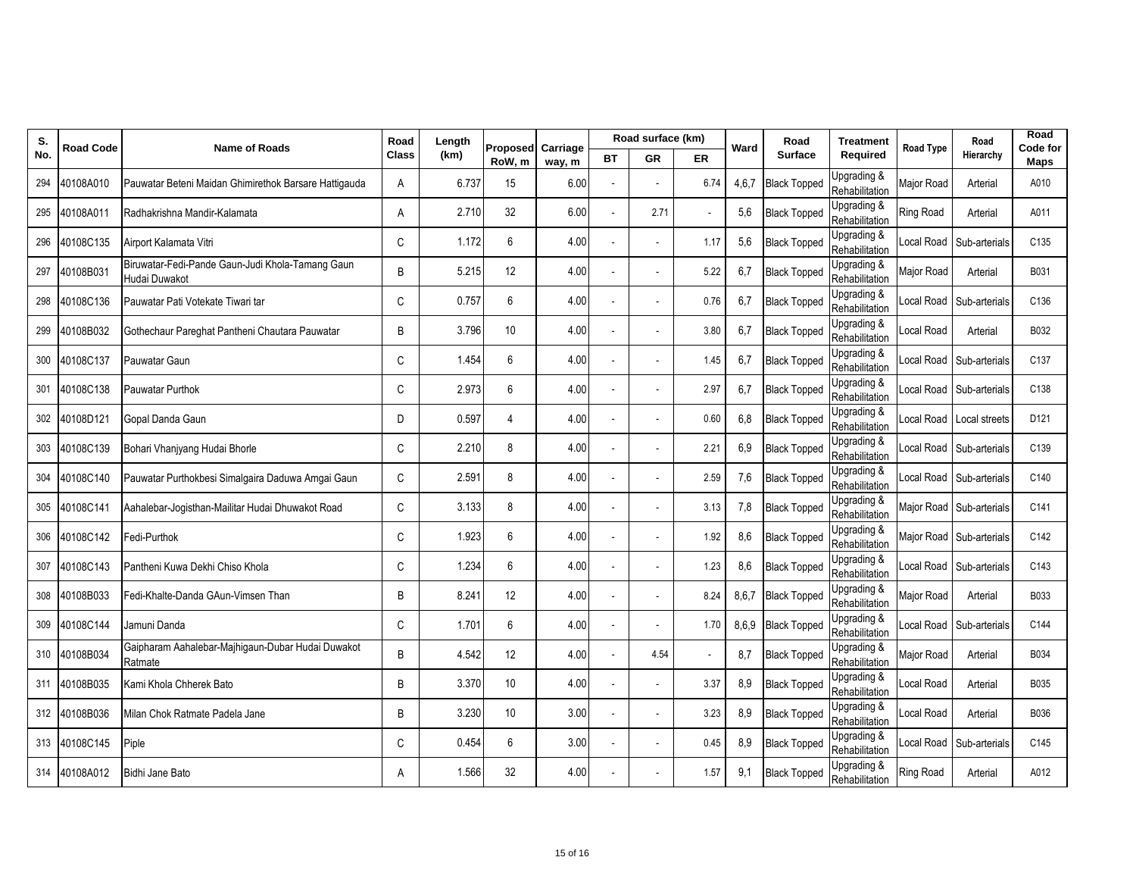| S.  | <b>Road Code</b> | <b>Name of Roads</b>                                              | Road         | Length | <b>Proposed</b>  | Carriage |    | Road surface (km) |      | Ward  | Road                | <b>Treatment</b>              | <b>Road Type</b>  | Road                     | Road<br>Code for |
|-----|------------------|-------------------------------------------------------------------|--------------|--------|------------------|----------|----|-------------------|------|-------|---------------------|-------------------------------|-------------------|--------------------------|------------------|
| No. |                  |                                                                   | <b>Class</b> | (km)   | RoW, m           | way, m   | ВT | <b>GR</b>         | ER   |       | <b>Surface</b>      | Required                      |                   | Hierarchy                | Maps             |
| 294 | 40108A010        | Pauwatar Beteni Maidan Ghimirethok Barsare Hattigauda             | A            | 6.737  | 15               | 6.00     |    |                   | 6.74 | 4,6,7 | <b>Black Topped</b> | Upgrading &<br>Rehabilitation | Major Road        | Arterial                 | A010             |
| 295 | 40108A011        | Radhakrishna Mandir-Kalamata                                      | A            | 2.710  | 32               | 6.00     |    | 2.71              |      | 5,6   | <b>Black Topped</b> | Upgrading &<br>Rehabilitation | <b>Ring Road</b>  | Arterial                 | A011             |
| 296 | 40108C135        | Airport Kalamata Vitri                                            | $\mathsf{C}$ | 1.172  | 6                | 4.00     |    |                   | 1.17 | 5,6   | <b>Black Topped</b> | Upgrading &<br>Rehabilitation | Local Road        | Sub-arterials            | C <sub>135</sub> |
| 297 | 40108B031        | Biruwatar-Fedi-Pande Gaun-Judi Khola-Tamang Gaun<br>Hudai Duwakot | B            | 5.215  | 12               | 4.00     |    |                   | 5.22 | 6,7   | <b>Black Topped</b> | Upgrading &<br>Rehabilitation | Major Road        | Arterial                 | B031             |
| 298 | 40108C136        | Pauwatar Pati Votekate Tiwari tar                                 | C            | 0.757  | $\boldsymbol{6}$ | 4.00     |    |                   | 0.76 | 6,7   | <b>Black Topped</b> | Upgrading &<br>Rehabilitation |                   | Local Road Sub-arterials | C136             |
| 299 | 40108B032        | Gothechaur Pareghat Pantheni Chautara Pauwatar                    | B            | 3.796  | 10               | 4.00     |    |                   | 3.80 | 6,7   | <b>Black Topped</b> | Upgrading &<br>Rehabilitation | Local Road        | Arterial                 | B032             |
| 300 | 40108C137        | Pauwatar Gaun                                                     | C            | 1.454  | 6                | 4.00     |    |                   | 1.45 | 6,7   | <b>Black Topped</b> | Upgrading &<br>Rehabilitation | ocal Road         | Sub-arterials            | C137             |
| 301 | 40108C138        | Pauwatar Purthok                                                  | C            | 2.973  | 6                | 4.00     |    |                   | 2.97 | 6,7   | <b>Black Topped</b> | Upgrading &<br>Rehabilitation |                   | ocal Road Sub-arterials  | C138             |
| 302 | 40108D121        | Gopal Danda Gaun                                                  | D            | 0.597  | $\overline{4}$   | 4.00     |    |                   | 0.60 | 6,8   | <b>Black Topped</b> | Upgrading &<br>Rehabilitation |                   | Local Road Local streets | D121             |
| 303 | 40108C139        | Bohari Vhanjyang Hudai Bhorle                                     | C            | 2.210  | 8                | 4.00     |    |                   | 2.21 | 6,9   | <b>Black Topped</b> | Upgrading &<br>Rehabilitation |                   | Local Road Sub-arterials | C139             |
| 304 | 40108C140        | Pauwatar Purthokbesi Simalgaira Daduwa Amgai Gaun                 | C            | 2.591  | 8                | 4.00     |    |                   | 2.59 | 7,6   | <b>Black Topped</b> | Upgrading &<br>Rehabilitation |                   | Local Road Sub-arterials | C140             |
| 305 | 40108C141        | Aahalebar-Joqisthan-Mailitar Hudai Dhuwakot Road                  | C            | 3.133  | 8                | 4.00     |    |                   | 3.13 | 7,8   | <b>Black Topped</b> | Upgrading &<br>Rehabilitation |                   | Major Road Sub-arterials | C141             |
| 306 | 40108C142        | Fedi-Purthok                                                      | C            | 1.923  | 6                | 4.00     |    |                   | 1.92 | 8,6   | <b>Black Topped</b> | Upgrading &<br>Rehabilitation | Major Road        | Sub-arterials            | C142             |
| 307 | 40108C143        | Pantheni Kuwa Dekhi Chiso Khola                                   | C            | 1.234  | 6                | 4.00     |    |                   | 1.23 | 8,6   | <b>Black Topped</b> | Upgrading &<br>Rehabilitation | ocal Road         | Sub-arterials            | C143             |
| 308 | 40108B033        | Fedi-Khalte-Danda GAun-Vimsen Than                                | B            | 8.241  | 12               | 4.00     |    |                   | 8.24 | 8,6,7 | <b>Black Topped</b> | Upgrading &<br>Rehabilitation | Major Road        | Arterial                 | <b>B033</b>      |
| 309 | 40108C144        | Jamuni Danda                                                      | C            | 1.701  | 6                | 4.00     |    |                   | 1.70 | 8,6,9 | <b>Black Topped</b> | Upgrading &<br>Rehabilitation | Local Road        | Sub-arterials            | C144             |
|     | 310 40108B034    | Gaipharam Aahalebar-Majhigaun-Dubar Hudai Duwakot<br>Ratmate      | B            | 4.542  | 12               | 4.00     |    | 4.54              |      | 8,7   | <b>Black Topped</b> | Upgrading &<br>Rehabilitation | <b>Major Road</b> | Arterial                 | B034             |
| 311 | 40108B035        | Kami Khola Chherek Bato                                           | B            | 3.370  | 10               | 4.00     |    |                   | 3.37 | 8,9   | <b>Black Topped</b> | Upgrading &<br>Rehabilitation | Local Road        | Arterial                 | B035             |
|     | 312 40108B036    | Milan Chok Ratmate Padela Jane                                    | B            | 3.230  | 10               | 3.00     |    |                   | 3.23 | 8,9   | <b>Black Topped</b> | Upgrading &<br>Rehabilitation | ocal Road         | Arterial                 | B036             |
|     | 313 40108C145    | Piple                                                             | C            | 0.454  | 6                | 3.00     |    |                   | 0.45 | 8,9   | <b>Black Topped</b> | Upgrading &<br>Rehabilitation | Local Road        | Sub-arterials            | C145             |
|     | 314 40108A012    | Bidhi Jane Bato                                                   | A            | 1.566  | 32               | 4.00     |    |                   | 1.57 | 9,1   | <b>Black Topped</b> | Upgrading &<br>Rehabilitation | <b>Ring Road</b>  | Arterial                 | A012             |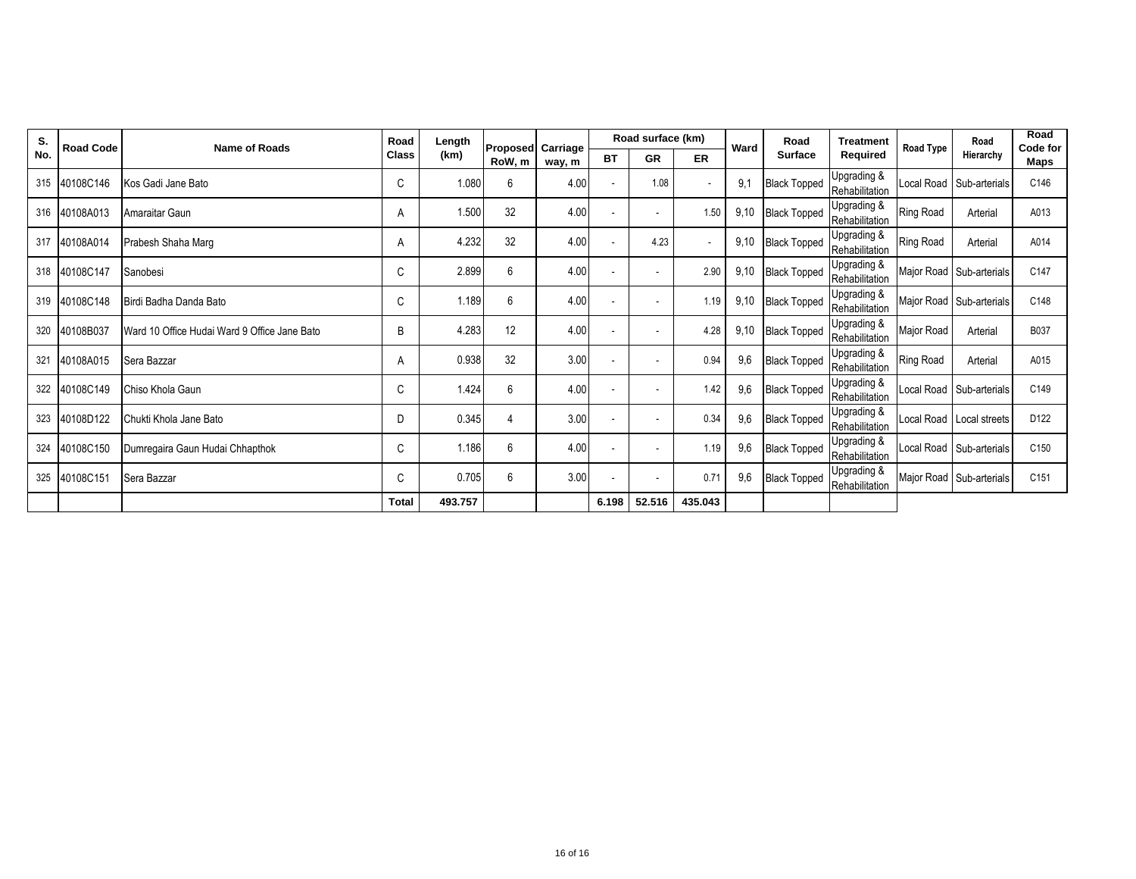| S.  | <b>Road Code</b> | <b>Name of Roads</b>                         | Road         | Length  | <b>Proposed Carriage</b> |        |           | Road surface (km)        |         | Ward | Road                | <b>Treatment</b>              | <b>Road Type</b> | Road                     | Road<br>Code for |
|-----|------------------|----------------------------------------------|--------------|---------|--------------------------|--------|-----------|--------------------------|---------|------|---------------------|-------------------------------|------------------|--------------------------|------------------|
| No. |                  |                                              | <b>Class</b> | (km)    | RoW, m                   | way, m | <b>BT</b> | <b>GR</b>                | ER      |      | <b>Surface</b>      | Required                      |                  | Hierarchy                | Maps             |
|     | 315 40108C146    | Kos Gadi Jane Bato                           | C            | 1.080   | 6                        | 4.00   |           | 1.08                     |         | 9,1  | <b>Black Topped</b> | Upgrading &<br>Rehabilitation | Local Road       | Sub-arterials            | C146             |
|     | 316 40108A013    | Amaraitar Gaun                               | A            | 1.500   | 32                       | 4.00   |           | ٠                        | 1.50    | 9,10 | <b>Black Topped</b> | Upgrading &<br>Rehabilitation | Ring Road        | Arterial                 | A013             |
| 317 | 40108A014        | Prabesh Shaha Marg                           | A            | 4.232   | 32                       | 4.00   |           | 4.23                     |         | 9,10 | <b>Black Topped</b> | Upgrading &<br>Rehabilitation | <b>Ring Road</b> | Arterial                 | A014             |
|     | 318 40108C147    | Sanobesi                                     | C            | 2.899   | 6                        | 4.00   |           | ٠                        | 2.90    | 9,10 | <b>Black Topped</b> | Upgrading &<br>Rehabilitation |                  | Major Road Sub-arterials | C147             |
|     | 319 40108C148    | Birdi Badha Danda Bato                       | C            | 1.189   | 6                        | 4.00   |           | ٠                        | 1.19    | 9,10 | <b>Black Topped</b> | Upgrading &<br>Rehabilitation |                  | Major Road Sub-arterials | C148             |
| 320 | 40108B037        | Ward 10 Office Hudai Ward 9 Office Jane Bato | B            | 4.283   | 12                       | 4.00   |           | ٠                        | 4.28    | 9,10 | <b>Black Topped</b> | Upgrading &<br>Rehabilitation | Major Road       | Arterial                 | B037             |
| 321 | 40108A015        | Sera Bazzar                                  | A            | 0.938   | 32                       | 3.00   |           | $\overline{\phantom{a}}$ | 0.94    | 9,6  | <b>Black Topped</b> | Upgrading &<br>Rehabilitation | <b>Ring Road</b> | Arterial                 | A015             |
| 322 | 40108C149        | Chiso Khola Gaun                             | C            | 1.424   | 6                        | 4.00   |           | ٠                        | 1.42    | 9,6  | <b>Black Topped</b> | Upgrading &<br>Rehabilitation | Local Road       | Sub-arterials            | C149             |
| 323 | 40108D122        | Chukti Khola Jane Bato                       | D            | 0.345   | 4                        | 3.00   |           | ٠                        | 0.34    | 9,6  | <b>Black Topped</b> | Upgrading &<br>Rehabilitation |                  | Local Road Local streets | D122             |
| 324 | 40108C150        | Dumregaira Gaun Hudai Chhapthok              | C            | 1.186   | 6                        | 4.00   |           | ٠                        | 1.19    | 9,6  | <b>Black Topped</b> | Upgrading &<br>Rehabilitation |                  | Local Road Sub-arterials | C150             |
| 325 | 40108C151        | Sera Bazzar                                  | C            | 0.705   | 6                        | 3.00   |           | $\sim$                   | 0.71    | 9,6  | <b>Black Topped</b> | Upgrading &<br>Rehabilitation |                  | Major Road Sub-arterials | C151             |
|     |                  |                                              | <b>Total</b> | 493.757 |                          |        | 6.198     | 52.516                   | 435.043 |      |                     |                               |                  |                          |                  |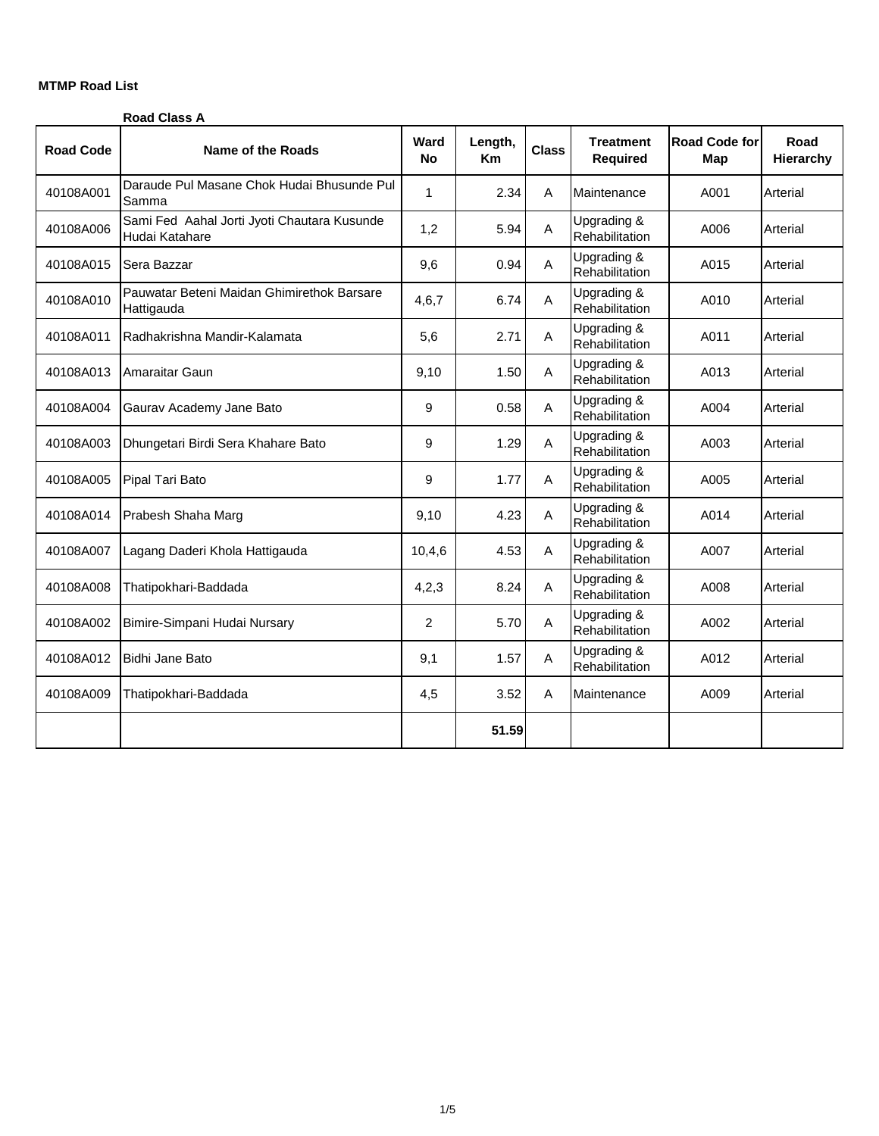## **MTMP Road List**

|                  | <b>Road Class A</b>                                           |                   |                      |              |                                     |                      |                   |
|------------------|---------------------------------------------------------------|-------------------|----------------------|--------------|-------------------------------------|----------------------|-------------------|
| <b>Road Code</b> | <b>Name of the Roads</b>                                      | Ward<br><b>No</b> | Length,<br><b>Km</b> | <b>Class</b> | <b>Treatment</b><br><b>Required</b> | Road Code for<br>Map | Road<br>Hierarchy |
| 40108A001        | Daraude Pul Masane Chok Hudai Bhusunde Pul<br>Samma           | $\mathbf{1}$      | 2.34                 | A            | Maintenance                         | A001                 | Arterial          |
| 40108A006        | Sami Fed Aahal Jorti Jyoti Chautara Kusunde<br>Hudai Katahare | 1,2               | 5.94                 | Α            | Upgrading &<br>Rehabilitation       | A006                 | Arterial          |
| 40108A015        | Sera Bazzar                                                   | 9,6               | 0.94                 | A            | Upgrading &<br>Rehabilitation       | A015                 | Arterial          |
| 40108A010        | Pauwatar Beteni Maidan Ghimirethok Barsare<br>Hattigauda      | 4,6,7             | 6.74                 | A            | Upgrading &<br>Rehabilitation       | A010                 | Arterial          |
| 40108A011        | Radhakrishna Mandir-Kalamata                                  | 5,6               | 2.71                 | Α            | Upgrading &<br>Rehabilitation       | A011                 | Arterial          |
| 40108A013        | Amaraitar Gaun                                                | 9,10              | 1.50                 | A            | Upgrading &<br>Rehabilitation       | A013                 | Arterial          |
| 40108A004        | Gaurav Academy Jane Bato                                      | 9                 | 0.58                 | A            | Upgrading &<br>Rehabilitation       | A004                 | Arterial          |
| 40108A003        | Dhungetari Birdi Sera Khahare Bato                            | 9                 | 1.29                 | A            | Upgrading &<br>Rehabilitation       | A003                 | Arterial          |
| 40108A005        | Pipal Tari Bato                                               | 9                 | 1.77                 | A            | Upgrading &<br>Rehabilitation       | A005                 | Arterial          |
| 40108A014        | Prabesh Shaha Marg                                            | 9,10              | 4.23                 | A            | Upgrading &<br>Rehabilitation       | A014                 | Arterial          |
| 40108A007        | Lagang Daderi Khola Hattigauda                                | 10,4,6            | 4.53                 | A            | Upgrading &<br>Rehabilitation       | A007                 | Arterial          |
| 40108A008        | Thatipokhari-Baddada                                          | 4,2,3             | 8.24                 | Α            | Upgrading &<br>Rehabilitation       | A008                 | Arterial          |
| 40108A002        | Bimire-Simpani Hudai Nursary                                  | 2                 | 5.70                 | Α            | Upgrading &<br>Rehabilitation       | A002                 | Arterial          |
| 40108A012        | <b>Bidhi Jane Bato</b>                                        | 9,1               | 1.57                 | Α            | Upgrading &<br>Rehabilitation       | A012                 | Arterial          |
| 40108A009        | Thatipokhari-Baddada                                          | 4,5               | 3.52                 | A            | Maintenance                         | A009                 | Arterial          |
|                  |                                                               |                   | 51.59                |              |                                     |                      |                   |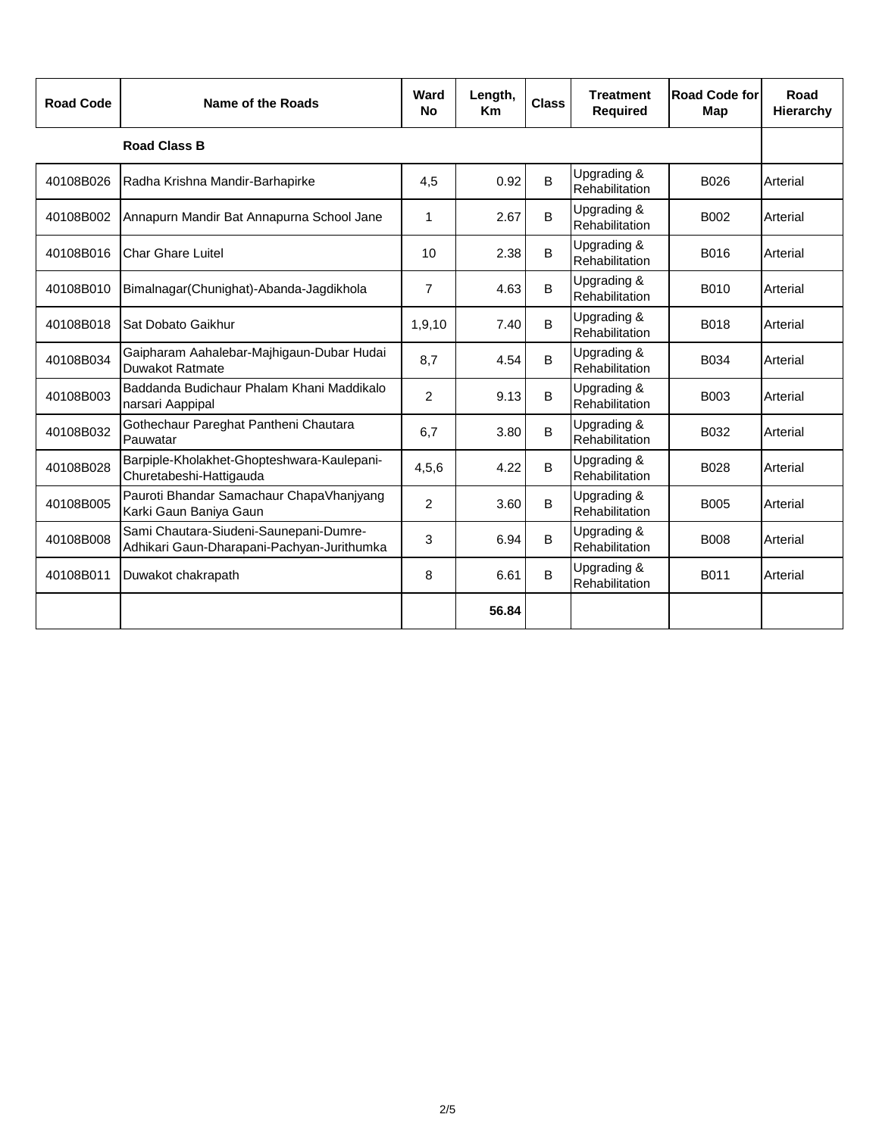| <b>Road Code</b> | Name of the Roads                                                                    | Ward<br><b>No</b> | Length,<br><b>Km</b> | <b>Class</b> | <b>Treatment</b><br><b>Required</b> | Road Code for<br>Map | Road<br>Hierarchy |
|------------------|--------------------------------------------------------------------------------------|-------------------|----------------------|--------------|-------------------------------------|----------------------|-------------------|
|                  | <b>Road Class B</b>                                                                  |                   |                      |              |                                     |                      |                   |
| 40108B026        | Radha Krishna Mandir-Barhapirke                                                      | 4,5               | 0.92                 | В            | Upgrading &<br>Rehabilitation       | B026                 | Arterial          |
| 40108B002        | Annapurn Mandir Bat Annapurna School Jane                                            | 1                 | 2.67                 | B            | Upgrading &<br>Rehabilitation       | B002                 | Arterial          |
| 40108B016        | <b>Char Ghare Luitel</b>                                                             | 10                | 2.38                 | B            | Upgrading &<br>Rehabilitation       | B016                 | Arterial          |
| 40108B010        | Bimalnagar(Chunighat)-Abanda-Jagdikhola                                              | $\overline{7}$    | 4.63                 | B            | Upgrading &<br>Rehabilitation       | B010                 | Arterial          |
| 40108B018        | Sat Dobato Gaikhur                                                                   | 1,9,10            | 7.40                 | B            | Upgrading &<br>Rehabilitation       | B018                 | Arterial          |
| 40108B034        | Gaipharam Aahalebar-Majhigaun-Dubar Hudai<br>Duwakot Ratmate                         | 8,7               | 4.54                 | B            | Upgrading &<br>Rehabilitation       | B034                 | Arterial          |
| 40108B003        | Baddanda Budichaur Phalam Khani Maddikalo<br>narsari Aappipal                        | $\overline{2}$    | 9.13                 | B            | Upgrading &<br>Rehabilitation       | B003                 | Arterial          |
| 40108B032        | Gothechaur Pareghat Pantheni Chautara<br>Pauwatar                                    | 6,7               | 3.80                 | B            | Upgrading &<br>Rehabilitation       | B032                 | Arterial          |
| 40108B028        | Barpiple-Kholakhet-Ghopteshwara-Kaulepani-<br>Churetabeshi-Hattigauda                | 4,5,6             | 4.22                 | B            | Upgrading &<br>Rehabilitation       | B028                 | Arterial          |
| 40108B005        | Pauroti Bhandar Samachaur ChapaVhanjyang<br>Karki Gaun Baniya Gaun                   | $\overline{2}$    | 3.60                 | B.           | Upgrading &<br>Rehabilitation       | <b>B005</b>          | Arterial          |
| 40108B008        | Sami Chautara-Siudeni-Saunepani-Dumre-<br>Adhikari Gaun-Dharapani-Pachyan-Jurithumka | 3                 | 6.94                 | B            | Upgrading &<br>Rehabilitation       | <b>B008</b>          | Arterial          |
| 40108B011        | Duwakot chakrapath                                                                   | 8                 | 6.61                 | B            | Upgrading &<br>Rehabilitation       | B011                 | Arterial          |
|                  |                                                                                      |                   | 56.84                |              |                                     |                      |                   |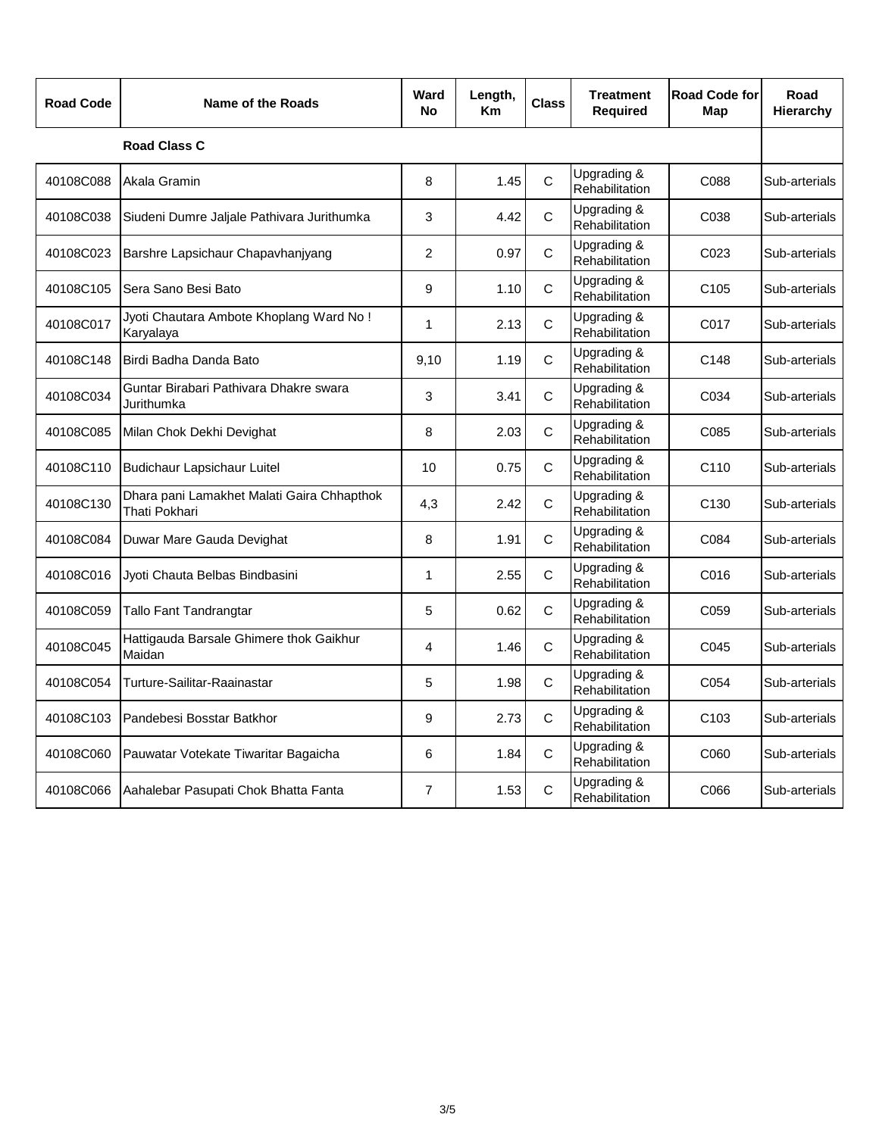| <b>Road Code</b> | Name of the Roads                                           | Ward<br>No     | Length,<br>Кm | <b>Class</b> | <b>Treatment</b><br><b>Required</b> | <b>Road Code for</b><br>Map | Road<br>Hierarchy |
|------------------|-------------------------------------------------------------|----------------|---------------|--------------|-------------------------------------|-----------------------------|-------------------|
|                  | <b>Road Class C</b>                                         |                |               |              |                                     |                             |                   |
| 40108C088        | Akala Gramin                                                | 8              | 1.45          | $\mathsf{C}$ | Upgrading &<br>Rehabilitation       | C088                        | Sub-arterials     |
| 40108C038        | Siudeni Dumre Jaljale Pathivara Jurithumka                  | 3              | 4.42          | $\mathsf{C}$ | Upgrading &<br>Rehabilitation       | C038                        | Sub-arterials     |
| 40108C023        | Barshre Lapsichaur Chapavhanjyang                           | 2              | 0.97          | C            | Upgrading &<br>Rehabilitation       | C023                        | Sub-arterials     |
| 40108C105        | Sera Sano Besi Bato                                         | 9              | 1.10          | $\mathsf{C}$ | Upgrading &<br>Rehabilitation       | C <sub>105</sub>            | Sub-arterials     |
| 40108C017        | Jyoti Chautara Ambote Khoplang Ward No!<br>Karyalaya        | 1              | 2.13          | $\mathsf{C}$ | Upgrading &<br>Rehabilitation       | C017                        | Sub-arterials     |
| 40108C148        | Birdi Badha Danda Bato                                      | 9,10           | 1.19          | $\mathsf{C}$ | Upgrading &<br>Rehabilitation       | C148                        | Sub-arterials     |
| 40108C034        | Guntar Birabari Pathivara Dhakre swara<br>Jurithumka        | 3              | 3.41          | $\mathsf{C}$ | Upgrading &<br>Rehabilitation       | C034                        | Sub-arterials     |
| 40108C085        | Milan Chok Dekhi Devighat                                   | 8              | 2.03          | $\mathsf{C}$ | Upgrading &<br>Rehabilitation       | C085                        | Sub-arterials     |
| 40108C110        | <b>Budichaur Lapsichaur Luitel</b>                          | 10             | 0.75          | $\mathsf{C}$ | Upgrading &<br>Rehabilitation       | C110                        | Sub-arterials     |
| 40108C130        | Dhara pani Lamakhet Malati Gaira Chhapthok<br>Thati Pokhari | 4,3            | 2.42          | $\mathsf{C}$ | Upgrading &<br>Rehabilitation       | C <sub>130</sub>            | Sub-arterials     |
| 40108C084        | Duwar Mare Gauda Devighat                                   | 8              | 1.91          | $\mathsf{C}$ | Upgrading &<br>Rehabilitation       | C084                        | Sub-arterials     |
| 40108C016        | Jyoti Chauta Belbas Bindbasini                              | 1              | 2.55          | C            | Upgrading &<br>Rehabilitation       | C016                        | Sub-arterials     |
| 40108C059        | Tallo Fant Tandrangtar                                      | 5              | 0.62          | $\mathsf{C}$ | Upgrading &<br>Rehabilitation       | C059                        | Sub-arterials     |
| 40108C045        | Hattigauda Barsale Ghimere thok Gaikhur<br>Maidan           | 4              | 1.46          | $\mathsf{C}$ | Upgrading &<br>Rehabilitation       | C045                        | Sub-arterials     |
| 40108C054        | Turture-Sailitar-Raainastar                                 | 5              | 1.98          | C            | Upgrading &<br>Rehabilitation       | C054                        | Sub-arterials     |
| 40108C103        | Pandebesi Bosstar Batkhor                                   | 9              | 2.73          | $\mathsf{C}$ | Upgrading &<br>Rehabilitation       | C <sub>103</sub>            | Sub-arterials     |
| 40108C060        | Pauwatar Votekate Tiwaritar Bagaicha                        | 6              | 1.84          | $\mathsf C$  | Upgrading &<br>Rehabilitation       | C060                        | Sub-arterials     |
| 40108C066        | Aahalebar Pasupati Chok Bhatta Fanta                        | $\overline{7}$ | 1.53          | $\mathsf{C}$ | Upgrading &<br>Rehabilitation       | C066                        | Sub-arterials     |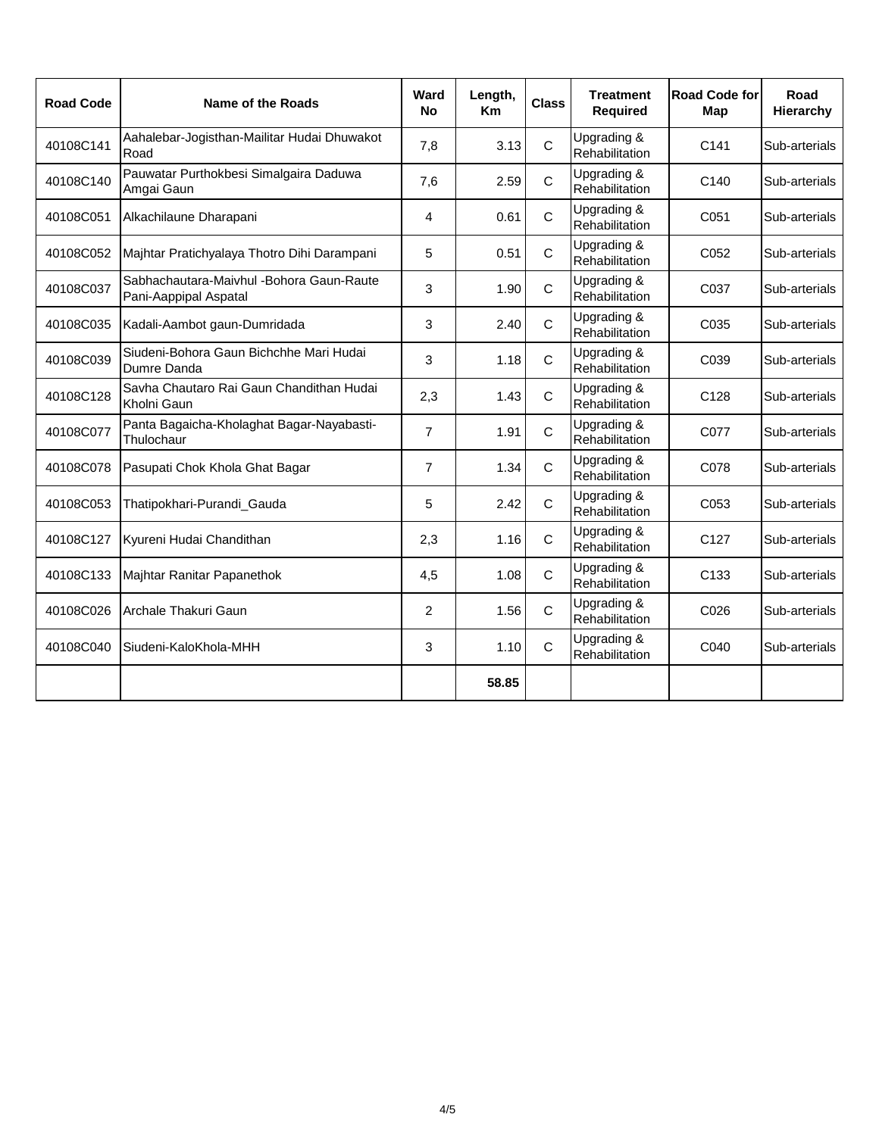| <b>Road Code</b> | <b>Name of the Roads</b>                                           | Ward<br><b>No</b> | Length,<br><b>Km</b> | <b>Class</b> | <b>Treatment</b><br><b>Required</b> | Road Code for<br>Map | Road<br>Hierarchy |
|------------------|--------------------------------------------------------------------|-------------------|----------------------|--------------|-------------------------------------|----------------------|-------------------|
| 40108C141        | Aahalebar-Jogisthan-Mailitar Hudai Dhuwakot<br>Road                | 7,8               | 3.13                 | $\mathsf{C}$ | Upgrading &<br>Rehabilitation       | C <sub>141</sub>     | Sub-arterials     |
| 40108C140        | Pauwatar Purthokbesi Simalgaira Daduwa<br>Amgai Gaun               | 7,6               | 2.59                 | $\mathsf{C}$ | Upgrading &<br>Rehabilitation       | C <sub>140</sub>     | Sub-arterials     |
| 40108C051        | Alkachilaune Dharapani                                             | 4                 | 0.61                 | C            | Upgrading &<br>Rehabilitation       | C051                 | Sub-arterials     |
| 40108C052        | Majhtar Pratichyalaya Thotro Dihi Darampani                        | 5                 | 0.51                 | C            | Upgrading &<br>Rehabilitation       | C052                 | Sub-arterials     |
| 40108C037        | Sabhachautara-Maivhul - Bohora Gaun-Raute<br>Pani-Aappipal Aspatal | 3                 | 1.90                 | C            | Upgrading &<br>Rehabilitation       | C037                 | Sub-arterials     |
| 40108C035        | Kadali-Aambot gaun-Dumridada                                       | 3                 | 2.40                 | C            | Upgrading &<br>Rehabilitation       | C035                 | Sub-arterials     |
| 40108C039        | Siudeni-Bohora Gaun Bichchhe Mari Hudai<br>Dumre Danda             | 3                 | 1.18                 | $\mathsf{C}$ | Upgrading &<br>Rehabilitation       | C039                 | Sub-arterials     |
| 40108C128        | Savha Chautaro Rai Gaun Chandithan Hudai<br>Kholni Gaun            | 2,3               | 1.43                 | $\mathsf{C}$ | Upgrading &<br>Rehabilitation       | C128                 | Sub-arterials     |
| 40108C077        | Panta Bagaicha-Kholaghat Bagar-Nayabasti-<br>Thulochaur            | $\overline{7}$    | 1.91                 | C            | Upgrading &<br>Rehabilitation       | C077                 | Sub-arterials     |
| 40108C078        | Pasupati Chok Khola Ghat Bagar                                     | $\overline{7}$    | 1.34                 | $\mathsf{C}$ | Upgrading &<br>Rehabilitation       | C078                 | Sub-arterials     |
| 40108C053        | Thatipokhari-Purandi_Gauda                                         | 5                 | 2.42                 | $\mathsf{C}$ | Upgrading &<br>Rehabilitation       | C053                 | Sub-arterials     |
| 40108C127        | Kyureni Hudai Chandithan                                           | 2,3               | 1.16                 | C            | Upgrading &<br>Rehabilitation       | C <sub>127</sub>     | Sub-arterials     |
| 40108C133        | Majhtar Ranitar Papanethok                                         | 4,5               | 1.08                 | $\mathsf{C}$ | Upgrading &<br>Rehabilitation       | C <sub>133</sub>     | Sub-arterials     |
| 40108C026        | Archale Thakuri Gaun                                               | $\overline{c}$    | 1.56                 | $\mathsf{C}$ | Upgrading &<br>Rehabilitation       | C026                 | Sub-arterials     |
| 40108C040        | Siudeni-KaloKhola-MHH                                              | 3                 | 1.10                 | C            | Upgrading &<br>Rehabilitation       | C040                 | Sub-arterials     |
|                  |                                                                    |                   | 58.85                |              |                                     |                      |                   |